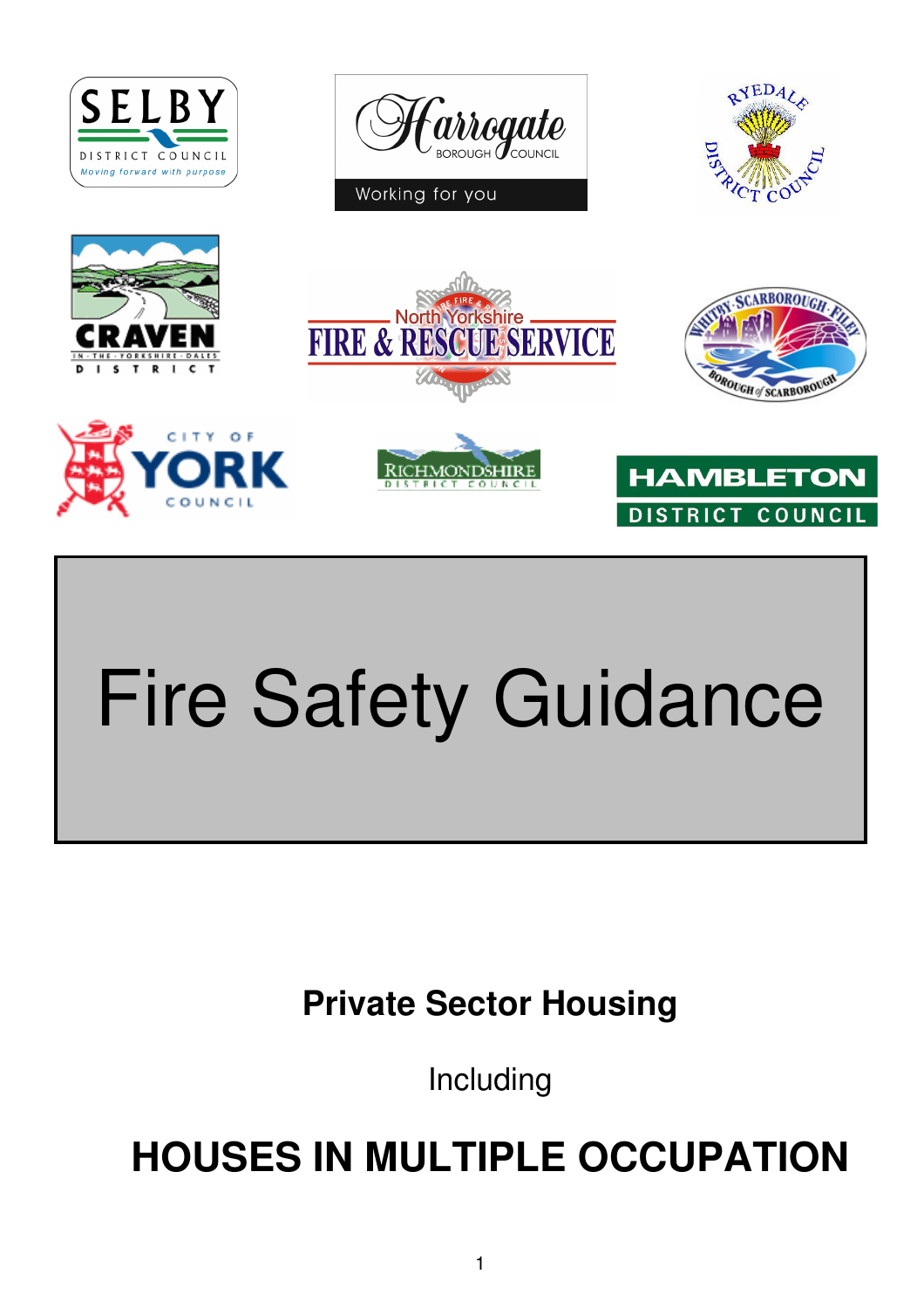



I

Working for you















# Fire Safety Guidance

**Private Sector Housing** 

Including

**HOUSES IN MULTIPLE OCCUPATION**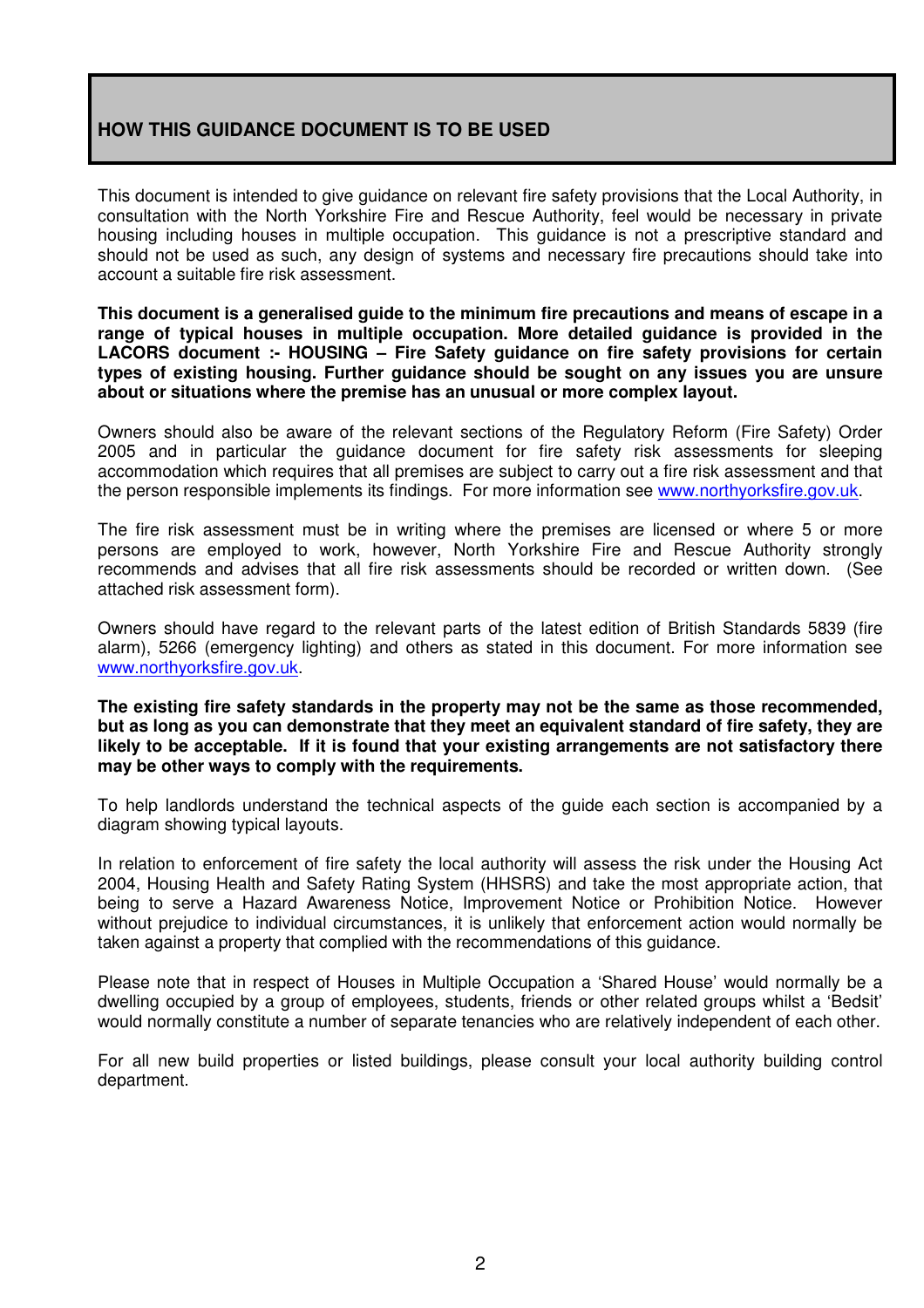### **HOW THIS GUIDANCE DOCUMENT IS TO BE USED**

This document is intended to give guidance on relevant fire safety provisions that the Local Authority, in consultation with the North Yorkshire Fire and Rescue Authority, feel would be necessary in private housing including houses in multiple occupation. This guidance is not a prescriptive standard and should not be used as such, any design of systems and necessary fire precautions should take into account a suitable fire risk assessment.

**This document is a generalised guide to the minimum fire precautions and means of escape in a range of typical houses in multiple occupation. More detailed guidance is provided in the LACORS document :- HOUSING – Fire Safety guidance on fire safety provisions for certain types of existing housing. Further guidance should be sought on any issues you are unsure about or situations where the premise has an unusual or more complex layout.** 

Owners should also be aware of the relevant sections of the Regulatory Reform (Fire Safety) Order 2005 and in particular the guidance document for fire safety risk assessments for sleeping accommodation which requires that all premises are subject to carry out a fire risk assessment and that the person responsible implements its findings. For more information see www.northyorksfire.gov.uk.

The fire risk assessment must be in writing where the premises are licensed or where 5 or more persons are employed to work, however, North Yorkshire Fire and Rescue Authority strongly recommends and advises that all fire risk assessments should be recorded or written down. (See attached risk assessment form).

Owners should have regard to the relevant parts of the latest edition of British Standards 5839 (fire alarm), 5266 (emergency lighting) and others as stated in this document. For more information see www.northyorksfire.gov.uk.

**The existing fire safety standards in the property may not be the same as those recommended, but as long as you can demonstrate that they meet an equivalent standard of fire safety, they are likely to be acceptable. If it is found that your existing arrangements are not satisfactory there may be other ways to comply with the requirements.** 

To help landlords understand the technical aspects of the guide each section is accompanied by a diagram showing typical layouts.

In relation to enforcement of fire safety the local authority will assess the risk under the Housing Act 2004, Housing Health and Safety Rating System (HHSRS) and take the most appropriate action, that being to serve a Hazard Awareness Notice, Improvement Notice or Prohibition Notice. However without prejudice to individual circumstances, it is unlikely that enforcement action would normally be taken against a property that complied with the recommendations of this guidance.

Please note that in respect of Houses in Multiple Occupation a 'Shared House' would normally be a dwelling occupied by a group of employees, students, friends or other related groups whilst a 'Bedsit' would normally constitute a number of separate tenancies who are relatively independent of each other.

For all new build properties or listed buildings, please consult your local authority building control department.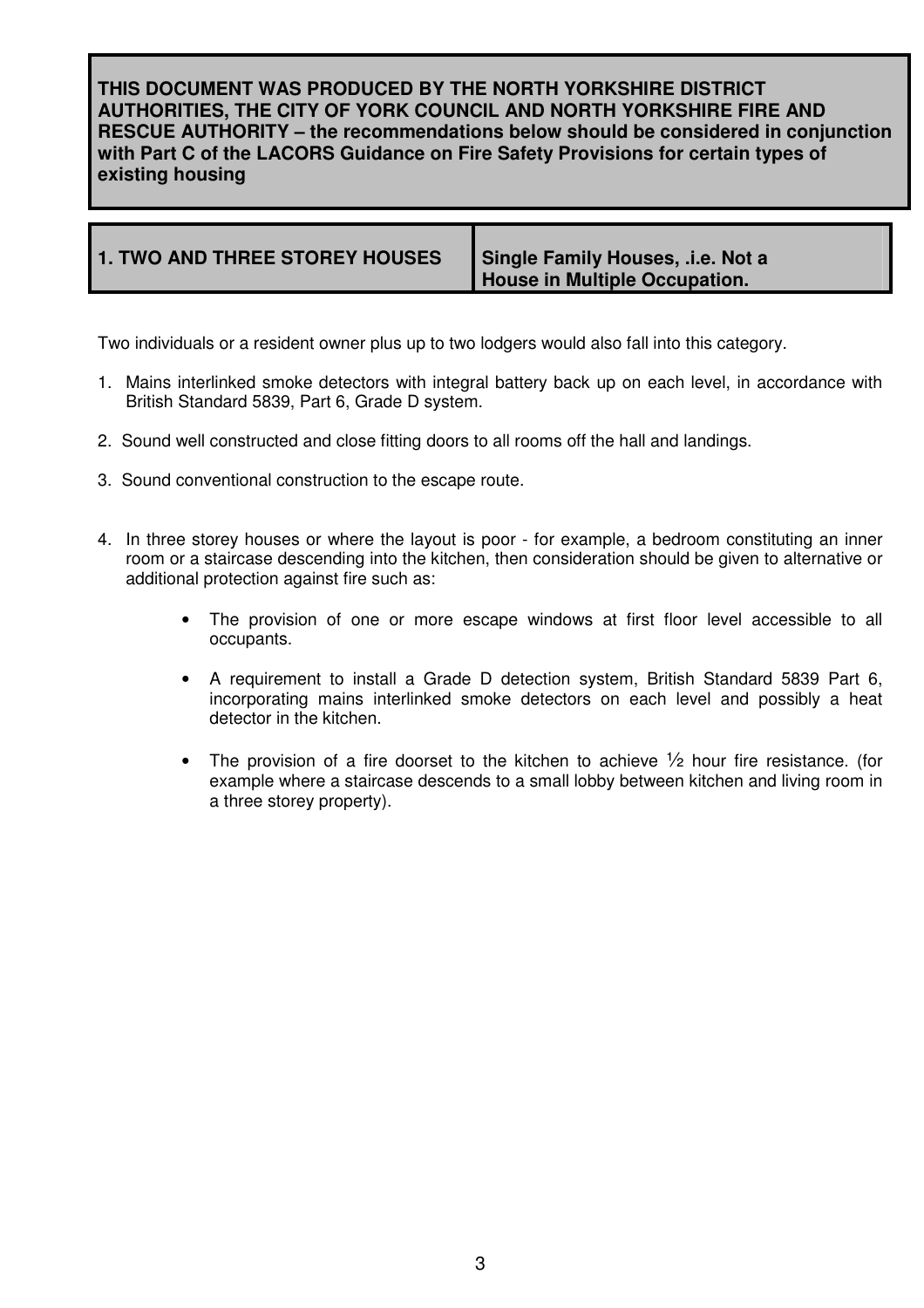**THIS DOCUMENT WAS PRODUCED BY THE NORTH YORKSHIRE DISTRICT AUTHORITIES, THE CITY OF YORK COUNCIL AND NORTH YORKSHIRE FIRE AND RESCUE AUTHORITY – the recommendations below should be considered in conjunction with Part C of the LACORS Guidance on Fire Safety Provisions for certain types of existing housing** 

| <b>1. TWO AND THREE STOREY HOUSES</b> | Single Family Houses, .i.e. Not a<br>House in Multiple Occupation. |
|---------------------------------------|--------------------------------------------------------------------|
|---------------------------------------|--------------------------------------------------------------------|

Two individuals or a resident owner plus up to two lodgers would also fall into this category.

- 1. Mains interlinked smoke detectors with integral battery back up on each level, in accordance with British Standard 5839, Part 6, Grade D system.
- 2. Sound well constructed and close fitting doors to all rooms off the hall and landings.
- 3. Sound conventional construction to the escape route.
- 4. In three storey houses or where the layout is poor for example, a bedroom constituting an inner room or a staircase descending into the kitchen, then consideration should be given to alternative or additional protection against fire such as:
	- The provision of one or more escape windows at first floor level accessible to all occupants.
	- A requirement to install a Grade D detection system, British Standard 5839 Part 6, incorporating mains interlinked smoke detectors on each level and possibly a heat detector in the kitchen.
	- The provision of a fire doorset to the kitchen to achieve  $\frac{1}{2}$  hour fire resistance. (for example where a staircase descends to a small lobby between kitchen and living room in a three storey property).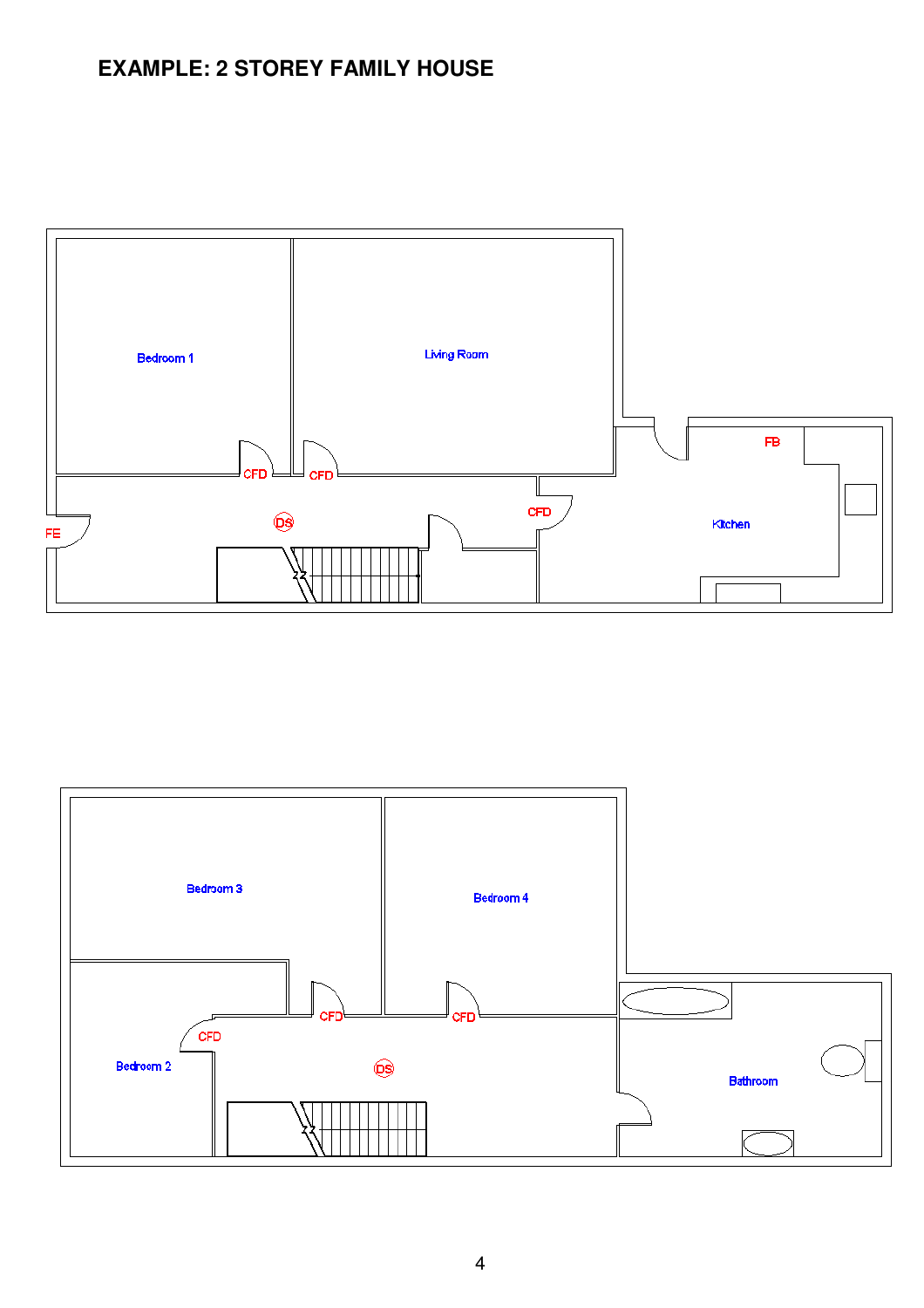# **EXAMPLE: 2 STOREY FAMILY HOUSE**



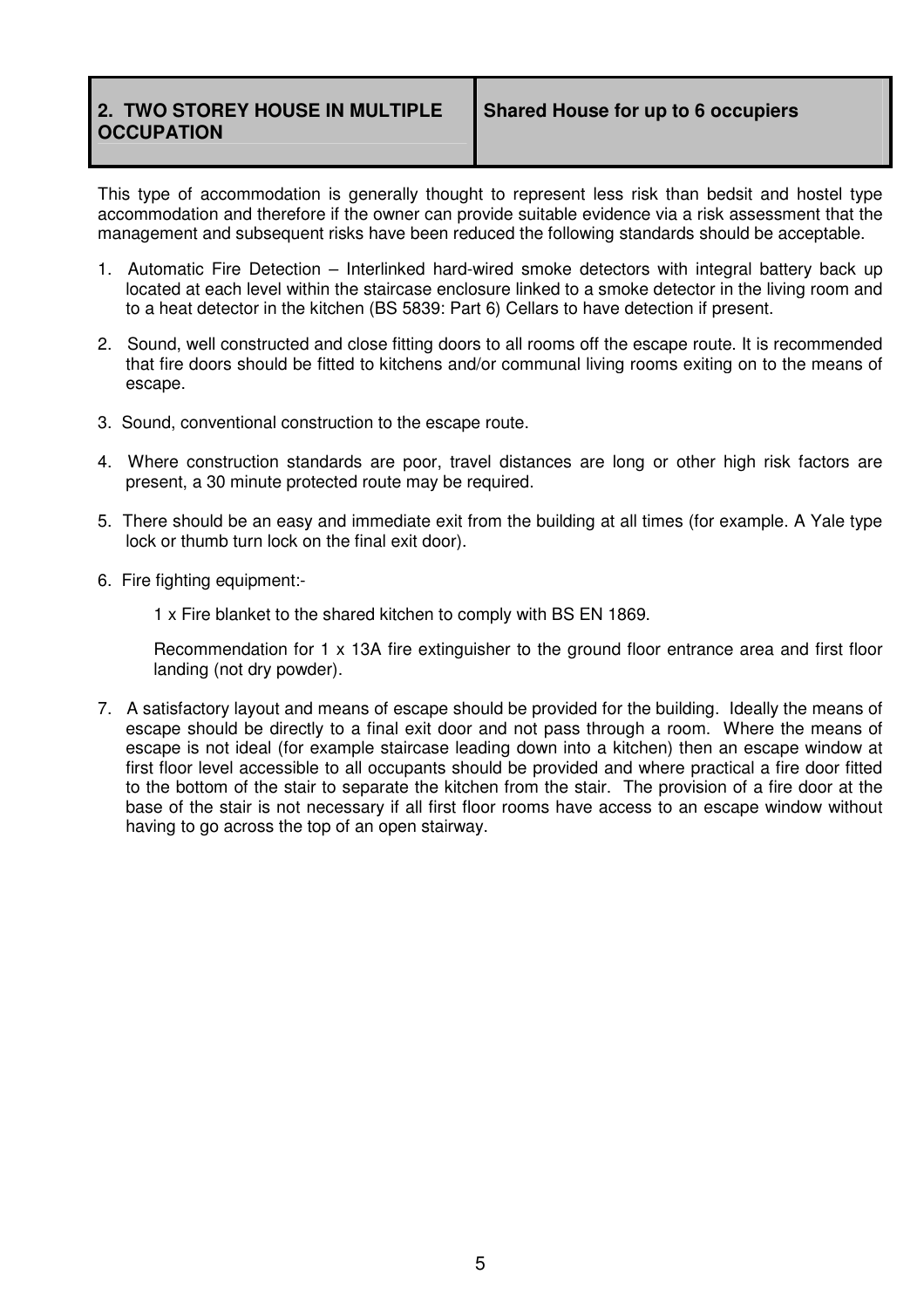### **2. TWO STOREY HOUSE IN MULTIPLE OCCUPATION**

This type of accommodation is generally thought to represent less risk than bedsit and hostel type accommodation and therefore if the owner can provide suitable evidence via a risk assessment that the management and subsequent risks have been reduced the following standards should be acceptable.

- 1. Automatic Fire Detection Interlinked hard-wired smoke detectors with integral battery back up located at each level within the staircase enclosure linked to a smoke detector in the living room and to a heat detector in the kitchen (BS 5839: Part 6) Cellars to have detection if present.
- 2. Sound, well constructed and close fitting doors to all rooms off the escape route. It is recommended that fire doors should be fitted to kitchens and/or communal living rooms exiting on to the means of escape.
- 3. Sound, conventional construction to the escape route.
- 4. Where construction standards are poor, travel distances are long or other high risk factors are present, a 30 minute protected route may be required.
- 5. There should be an easy and immediate exit from the building at all times (for example. A Yale type lock or thumb turn lock on the final exit door).
- 6. Fire fighting equipment:-

1 x Fire blanket to the shared kitchen to comply with BS EN 1869.

Recommendation for 1 x 13A fire extinguisher to the ground floor entrance area and first floor landing (not dry powder).

7. A satisfactory layout and means of escape should be provided for the building. Ideally the means of escape should be directly to a final exit door and not pass through a room. Where the means of escape is not ideal (for example staircase leading down into a kitchen) then an escape window at first floor level accessible to all occupants should be provided and where practical a fire door fitted to the bottom of the stair to separate the kitchen from the stair. The provision of a fire door at the base of the stair is not necessary if all first floor rooms have access to an escape window without having to go across the top of an open stairway.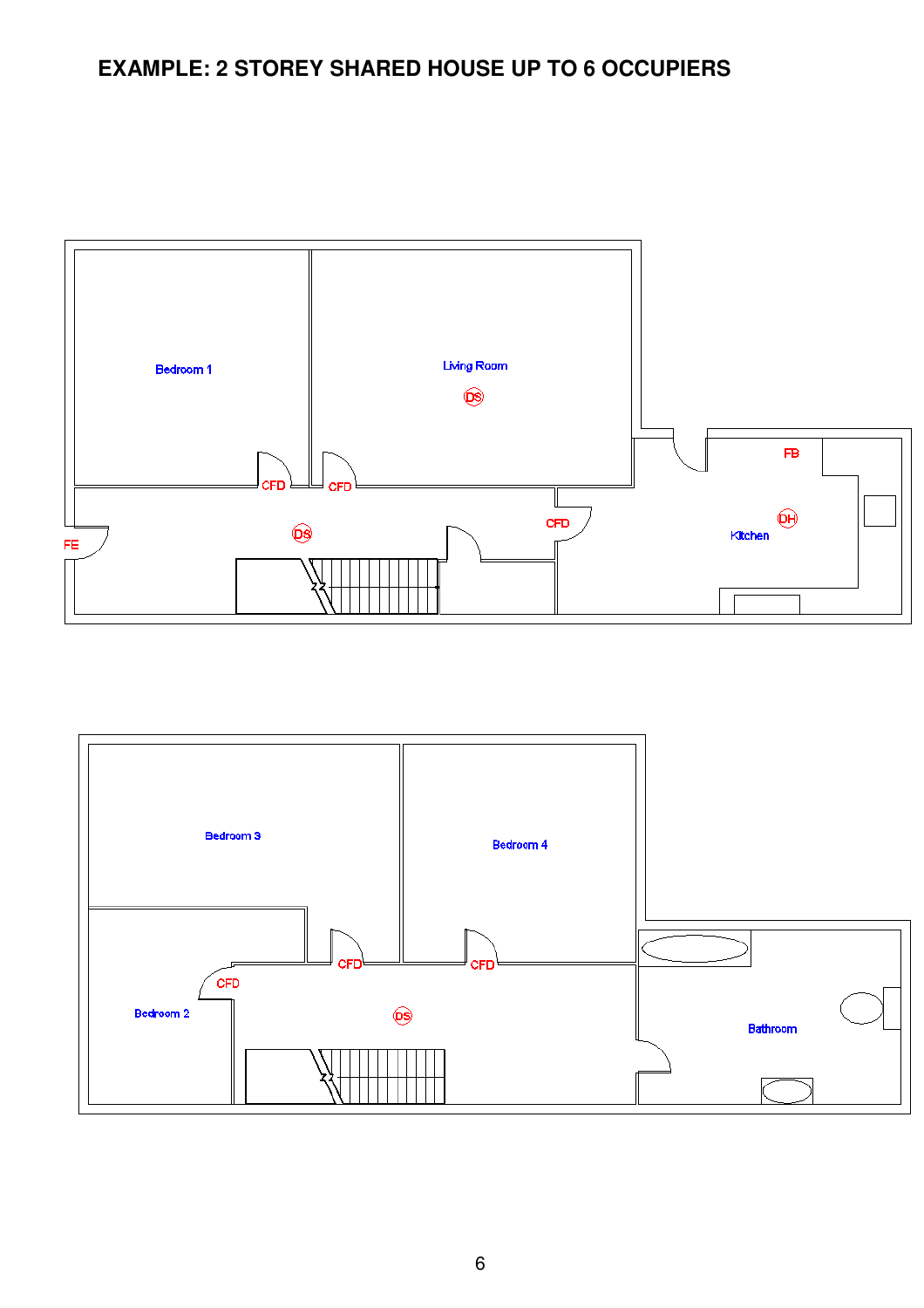# **EXAMPLE: 2 STOREY SHARED HOUSE UP TO 6 OCCUPIERS**



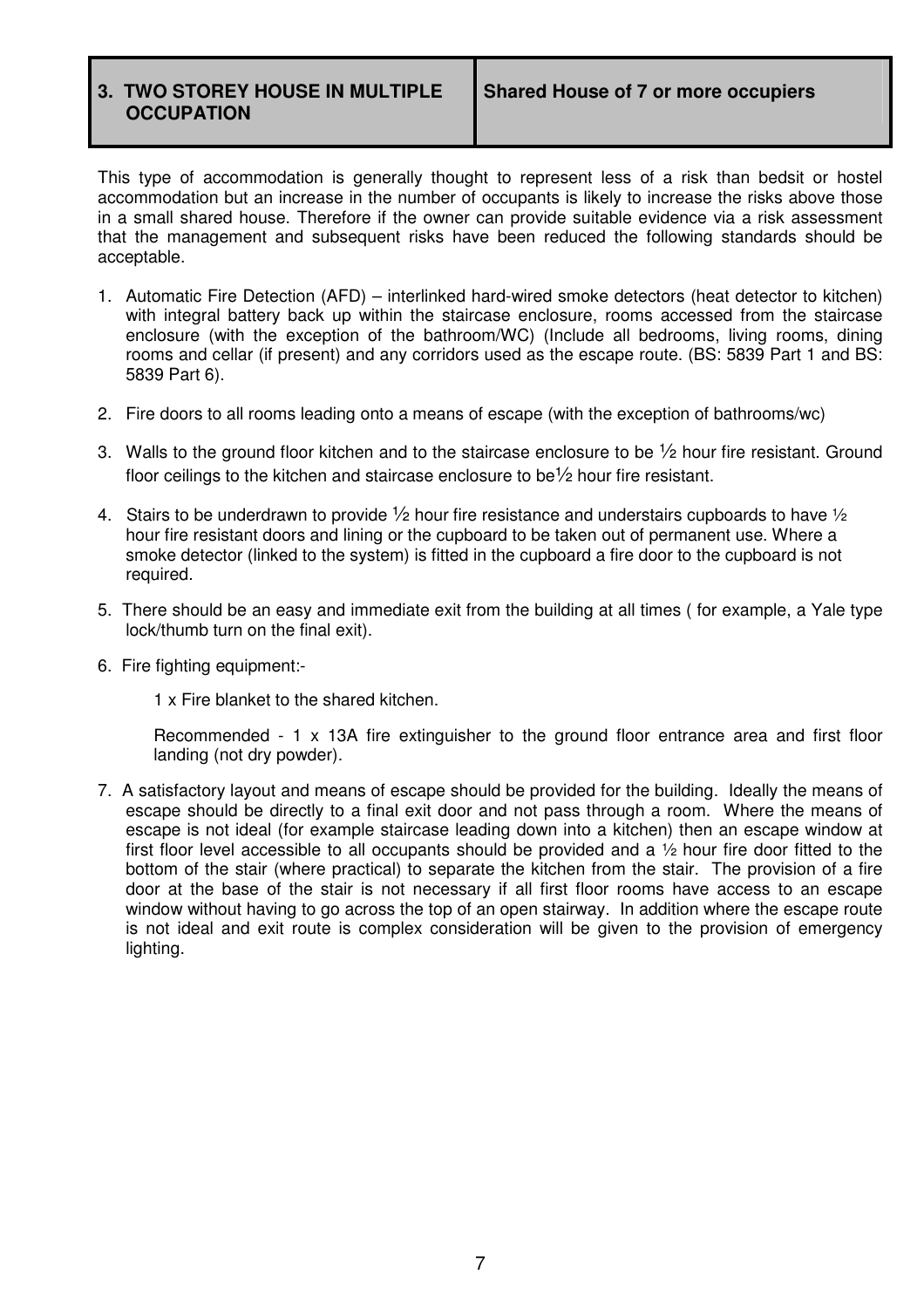This type of accommodation is generally thought to represent less of a risk than bedsit or hostel accommodation but an increase in the number of occupants is likely to increase the risks above those in a small shared house. Therefore if the owner can provide suitable evidence via a risk assessment that the management and subsequent risks have been reduced the following standards should be acceptable.

- 1. Automatic Fire Detection (AFD) interlinked hard-wired smoke detectors (heat detector to kitchen) with integral battery back up within the staircase enclosure, rooms accessed from the staircase enclosure (with the exception of the bathroom/WC) (Include all bedrooms, living rooms, dining rooms and cellar (if present) and any corridors used as the escape route. (BS: 5839 Part 1 and BS: 5839 Part 6).
- 2. Fire doors to all rooms leading onto a means of escape (with the exception of bathrooms/wc)
- 3. Walls to the ground floor kitchen and to the staircase enclosure to be  $\frac{1}{2}$  hour fire resistant. Ground floor ceilings to the kitchen and staircase enclosure to be½ hour fire resistant.
- 4. Stairs to be underdrawn to provide  $\frac{1}{2}$  hour fire resistance and understairs cupboards to have  $\frac{1}{2}$ hour fire resistant doors and lining or the cupboard to be taken out of permanent use. Where a smoke detector (linked to the system) is fitted in the cupboard a fire door to the cupboard is not required.
- 5. There should be an easy and immediate exit from the building at all times ( for example, a Yale type lock/thumb turn on the final exit).
- 6. Fire fighting equipment:-

1 x Fire blanket to the shared kitchen.

Recommended - 1 x 13A fire extinguisher to the ground floor entrance area and first floor landing (not dry powder).

7. A satisfactory layout and means of escape should be provided for the building. Ideally the means of escape should be directly to a final exit door and not pass through a room. Where the means of escape is not ideal (for example staircase leading down into a kitchen) then an escape window at first floor level accessible to all occupants should be provided and a ½ hour fire door fitted to the bottom of the stair (where practical) to separate the kitchen from the stair. The provision of a fire door at the base of the stair is not necessary if all first floor rooms have access to an escape window without having to go across the top of an open stairway. In addition where the escape route is not ideal and exit route is complex consideration will be given to the provision of emergency lighting.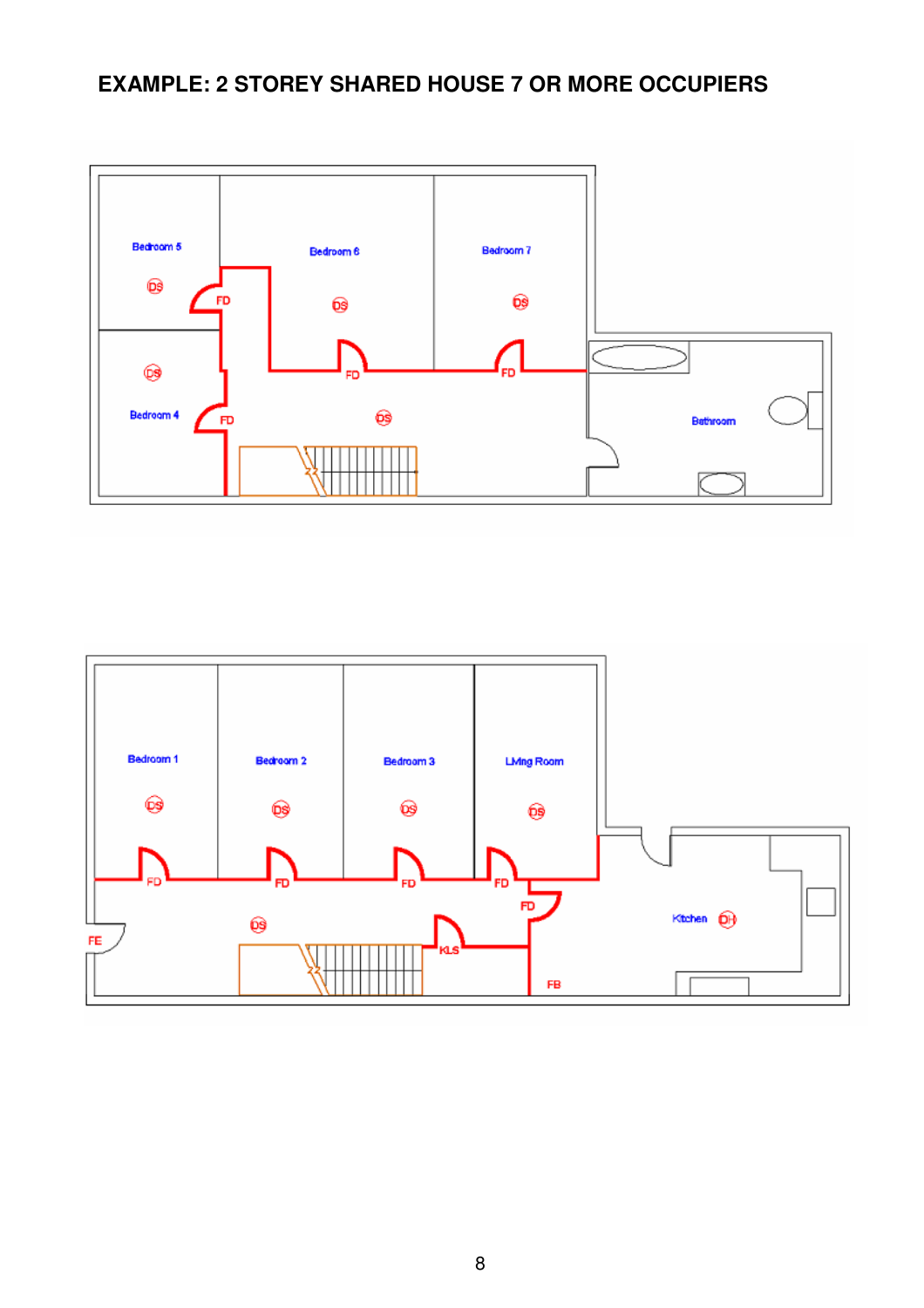# **EXAMPLE: 2 STOREY SHARED HOUSE 7 OR MORE OCCUPIERS**





8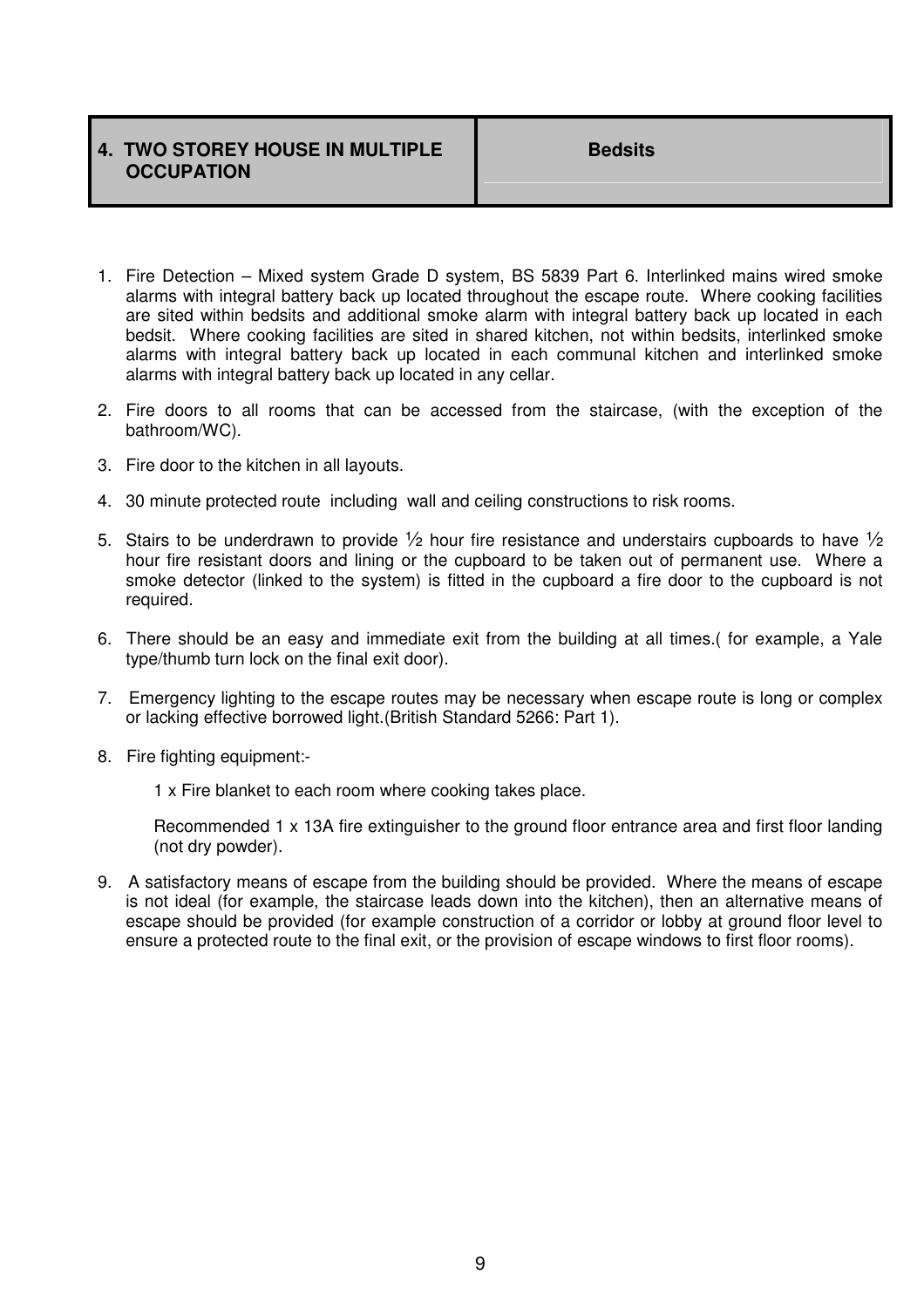### **4. TWO STOREY HOUSE IN MULTIPLE OCCUPATION**

- 1. Fire Detection Mixed system Grade D system, BS 5839 Part 6. Interlinked mains wired smoke alarms with integral battery back up located throughout the escape route. Where cooking facilities are sited within bedsits and additional smoke alarm with integral battery back up located in each bedsit. Where cooking facilities are sited in shared kitchen, not within bedsits, interlinked smoke alarms with integral battery back up located in each communal kitchen and interlinked smoke alarms with integral battery back up located in any cellar.
- 2. Fire doors to all rooms that can be accessed from the staircase, (with the exception of the bathroom/WC).
- 3. Fire door to the kitchen in all layouts.
- 4. 30 minute protected route including wall and ceiling constructions to risk rooms.
- 5. Stairs to be underdrawn to provide  $\frac{1}{2}$  hour fire resistance and understairs cupboards to have  $\frac{1}{2}$ hour fire resistant doors and lining or the cupboard to be taken out of permanent use. Where a smoke detector (linked to the system) is fitted in the cupboard a fire door to the cupboard is not required.
- 6. There should be an easy and immediate exit from the building at all times.( for example, a Yale type/thumb turn lock on the final exit door).
- 7. Emergency lighting to the escape routes may be necessary when escape route is long or complex or lacking effective borrowed light.(British Standard 5266: Part 1).
- 8. Fire fighting equipment:-

1 x Fire blanket to each room where cooking takes place.

Recommended 1 x 13A fire extinguisher to the ground floor entrance area and first floor landing (not dry powder).

9. A satisfactory means of escape from the building should be provided. Where the means of escape is not ideal (for example, the staircase leads down into the kitchen), then an alternative means of escape should be provided (for example construction of a corridor or lobby at ground floor level to ensure a protected route to the final exit, or the provision of escape windows to first floor rooms).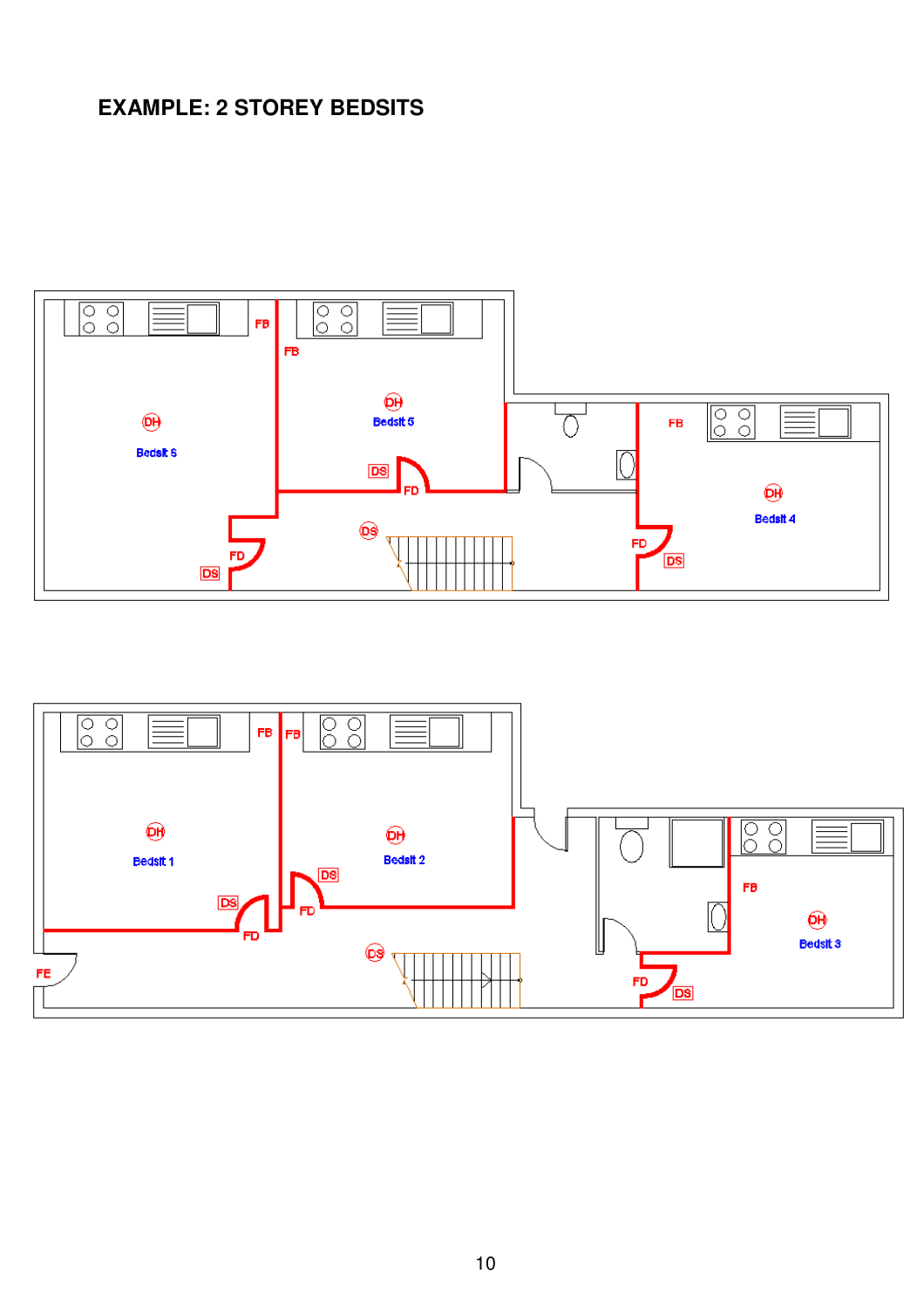# **EXAMPLE: 2 STOREY BEDSITS**



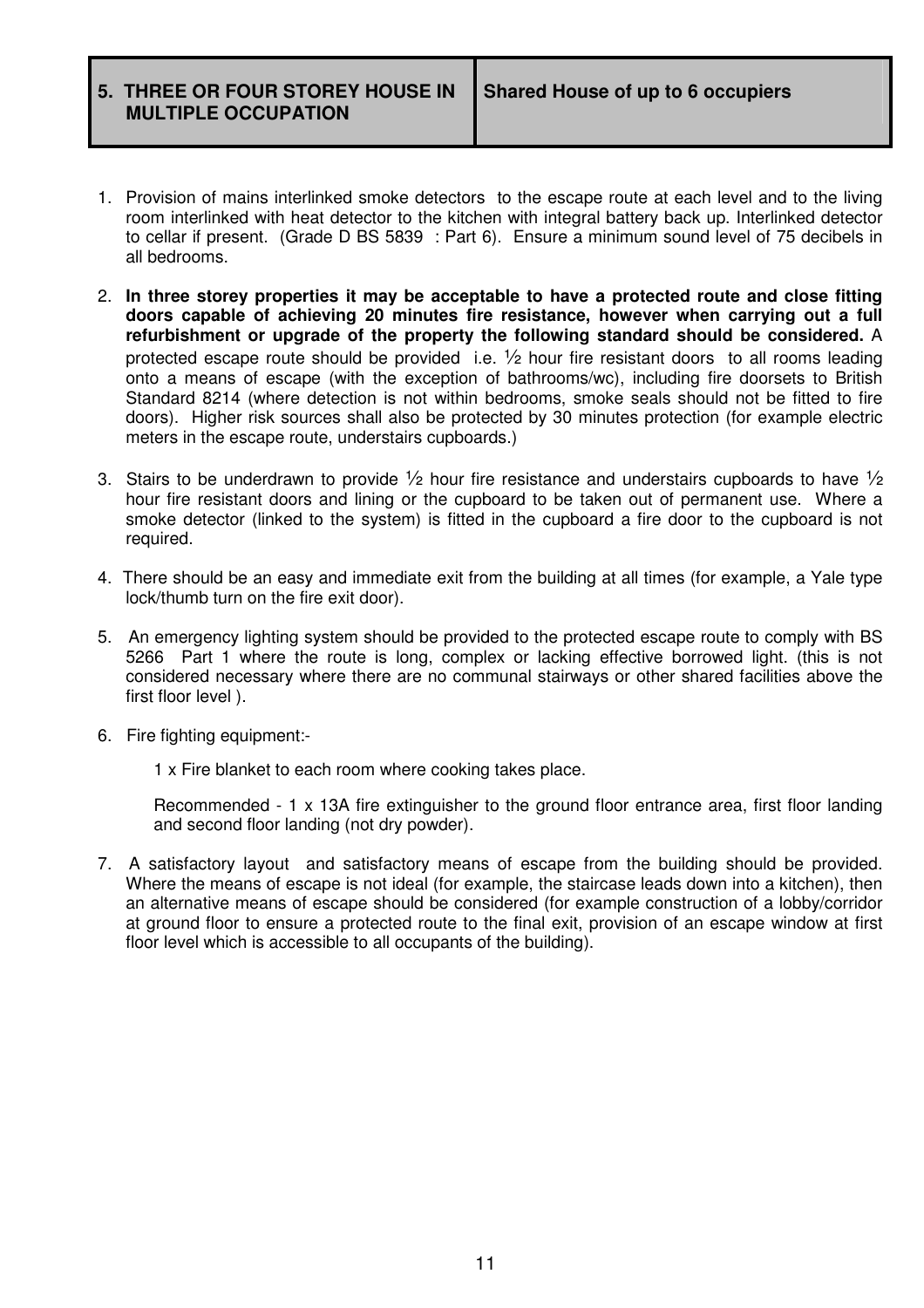**5. THREE OR FOUR STOREY HOUSE IN MULTIPLE OCCUPATION** 

- 1. Provision of mains interlinked smoke detectors to the escape route at each level and to the living room interlinked with heat detector to the kitchen with integral battery back up. Interlinked detector to cellar if present. (Grade D BS 5839 : Part 6). Ensure a minimum sound level of 75 decibels in all bedrooms.
- 2. **In three storey properties it may be acceptable to have a protected route and close fitting doors capable of achieving 20 minutes fire resistance, however when carrying out a full refurbishment or upgrade of the property the following standard should be considered.** A protected escape route should be provided i.e.  $\frac{1}{2}$  hour fire resistant doors to all rooms leading onto a means of escape (with the exception of bathrooms/wc), including fire doorsets to British Standard 8214 (where detection is not within bedrooms, smoke seals should not be fitted to fire doors). Higher risk sources shall also be protected by 30 minutes protection (for example electric meters in the escape route, understairs cupboards.)
- 3. Stairs to be underdrawn to provide  $\frac{1}{2}$  hour fire resistance and understairs cupboards to have  $\frac{1}{2}$ hour fire resistant doors and lining or the cupboard to be taken out of permanent use. Where a smoke detector (linked to the system) is fitted in the cupboard a fire door to the cupboard is not required.
- 4. There should be an easy and immediate exit from the building at all times (for example, a Yale type lock/thumb turn on the fire exit door).
- 5. An emergency lighting system should be provided to the protected escape route to comply with BS 5266 Part 1 where the route is long, complex or lacking effective borrowed light. (this is not considered necessary where there are no communal stairways or other shared facilities above the first floor level ).
- 6. Fire fighting equipment:-

1 x Fire blanket to each room where cooking takes place.

Recommended - 1 x 13A fire extinguisher to the ground floor entrance area, first floor landing and second floor landing (not dry powder).

7. A satisfactory layout and satisfactory means of escape from the building should be provided. Where the means of escape is not ideal (for example, the staircase leads down into a kitchen), then an alternative means of escape should be considered (for example construction of a lobby/corridor at ground floor to ensure a protected route to the final exit, provision of an escape window at first floor level which is accessible to all occupants of the building).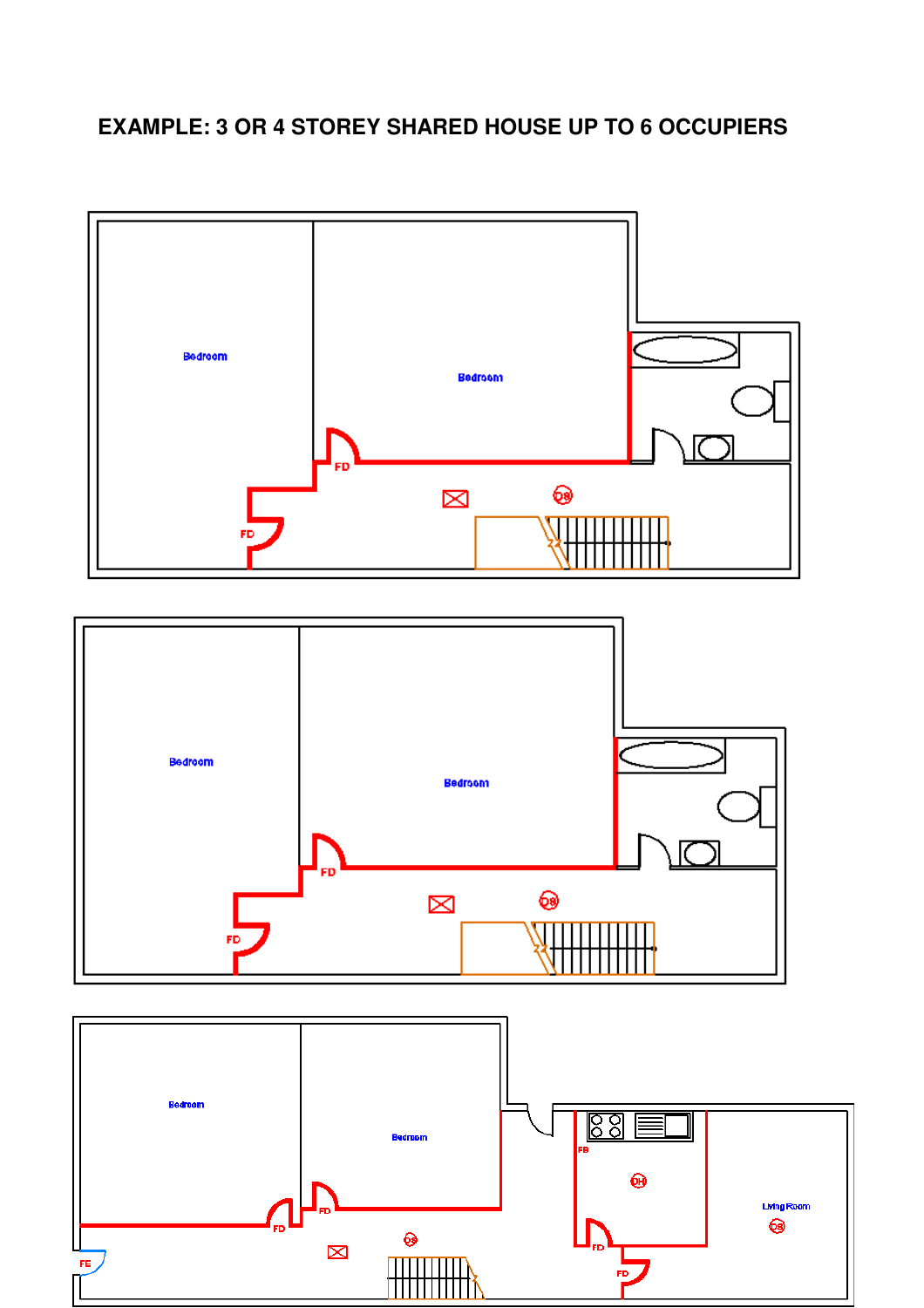# **EXAMPLE: 3 OR 4 STOREY SHARED HOUSE UP TO 6 OCCUPIERS**

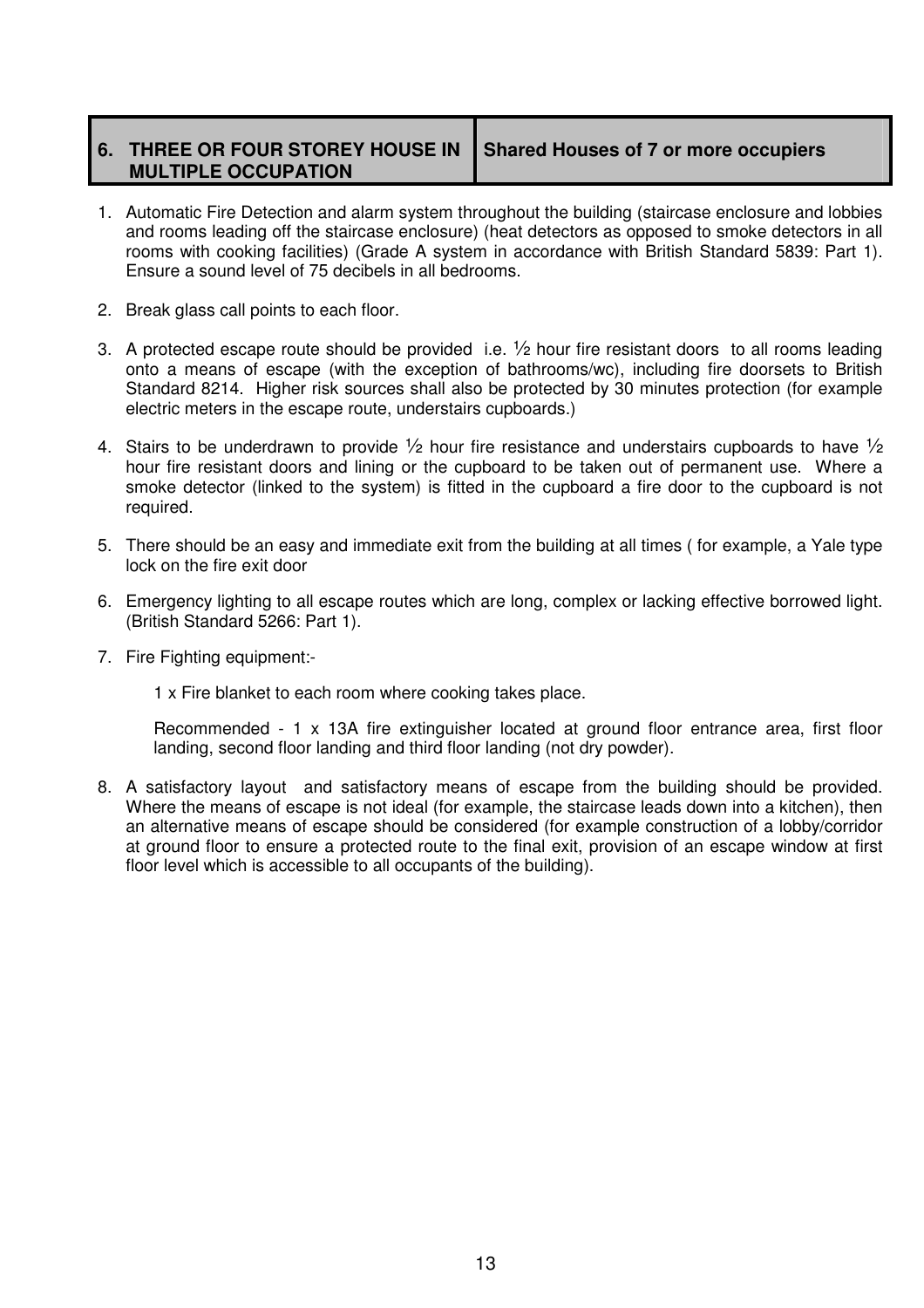### **6. THREE OR FOUR STOREY HOUSE IN MULTIPLE OCCUPATION**

**Shared Houses of 7 or more occupiers** 

- 1. Automatic Fire Detection and alarm system throughout the building (staircase enclosure and lobbies and rooms leading off the staircase enclosure) (heat detectors as opposed to smoke detectors in all rooms with cooking facilities) (Grade A system in accordance with British Standard 5839: Part 1). Ensure a sound level of 75 decibels in all bedrooms.
- 2. Break glass call points to each floor.
- 3. A protected escape route should be provided i.e.  $\frac{1}{2}$  hour fire resistant doors to all rooms leading onto a means of escape (with the exception of bathrooms/wc), including fire doorsets to British Standard 8214. Higher risk sources shall also be protected by 30 minutes protection (for example electric meters in the escape route, understairs cupboards.)
- 4. Stairs to be underdrawn to provide  $\frac{1}{2}$  hour fire resistance and understairs cupboards to have  $\frac{1}{2}$ hour fire resistant doors and lining or the cupboard to be taken out of permanent use. Where a smoke detector (linked to the system) is fitted in the cupboard a fire door to the cupboard is not required.
- 5. There should be an easy and immediate exit from the building at all times ( for example, a Yale type lock on the fire exit door
- 6. Emergency lighting to all escape routes which are long, complex or lacking effective borrowed light. (British Standard 5266: Part 1).
- 7. Fire Fighting equipment:-

1 x Fire blanket to each room where cooking takes place.

Recommended - 1 x 13A fire extinguisher located at ground floor entrance area, first floor landing, second floor landing and third floor landing (not dry powder).

8. A satisfactory layout and satisfactory means of escape from the building should be provided. Where the means of escape is not ideal (for example, the staircase leads down into a kitchen), then an alternative means of escape should be considered (for example construction of a lobby/corridor at ground floor to ensure a protected route to the final exit, provision of an escape window at first floor level which is accessible to all occupants of the building).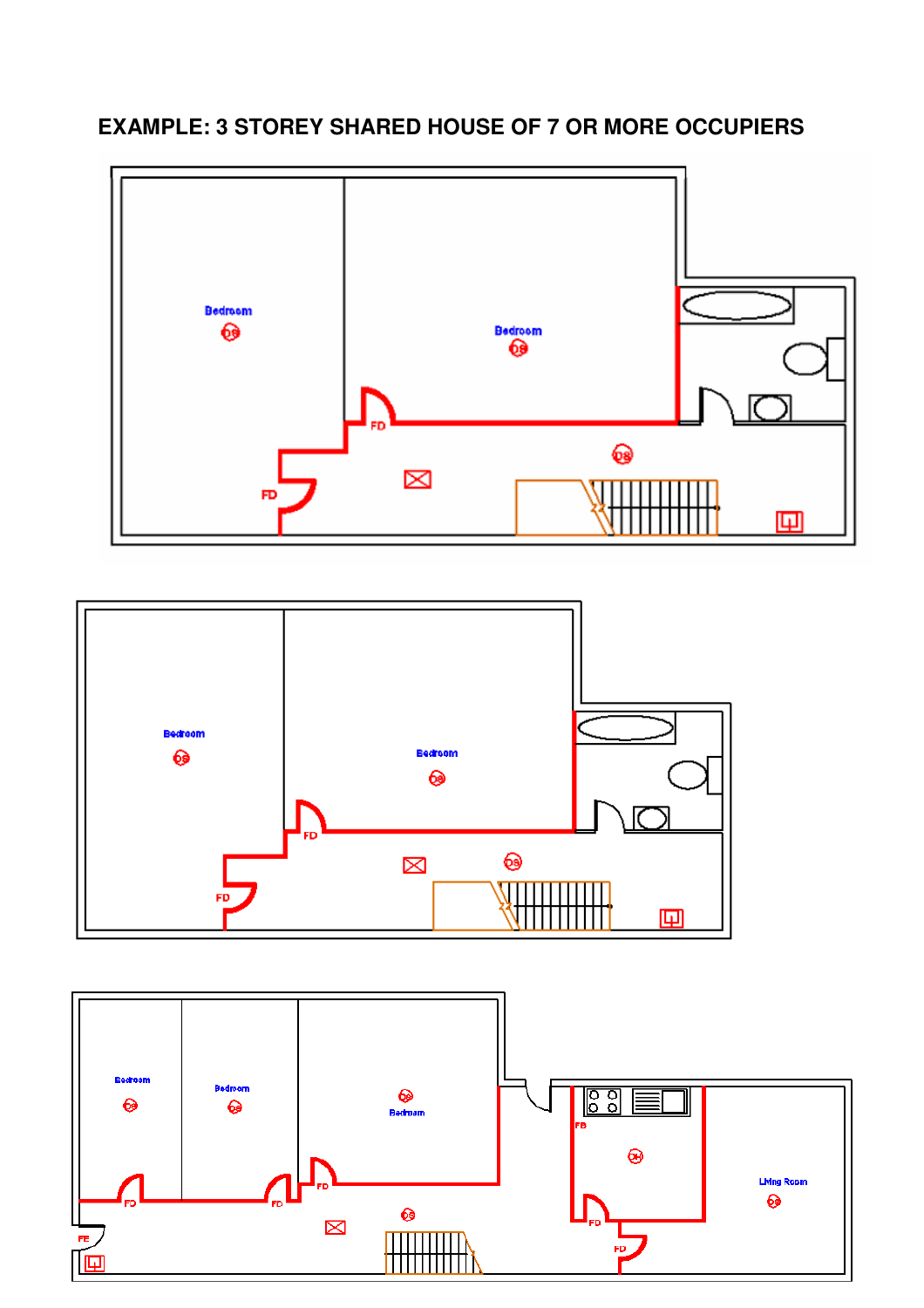**EXAMPLE: 3 STOREY SHARED HOUSE OF 7 OR MORE OCCUPIERS**





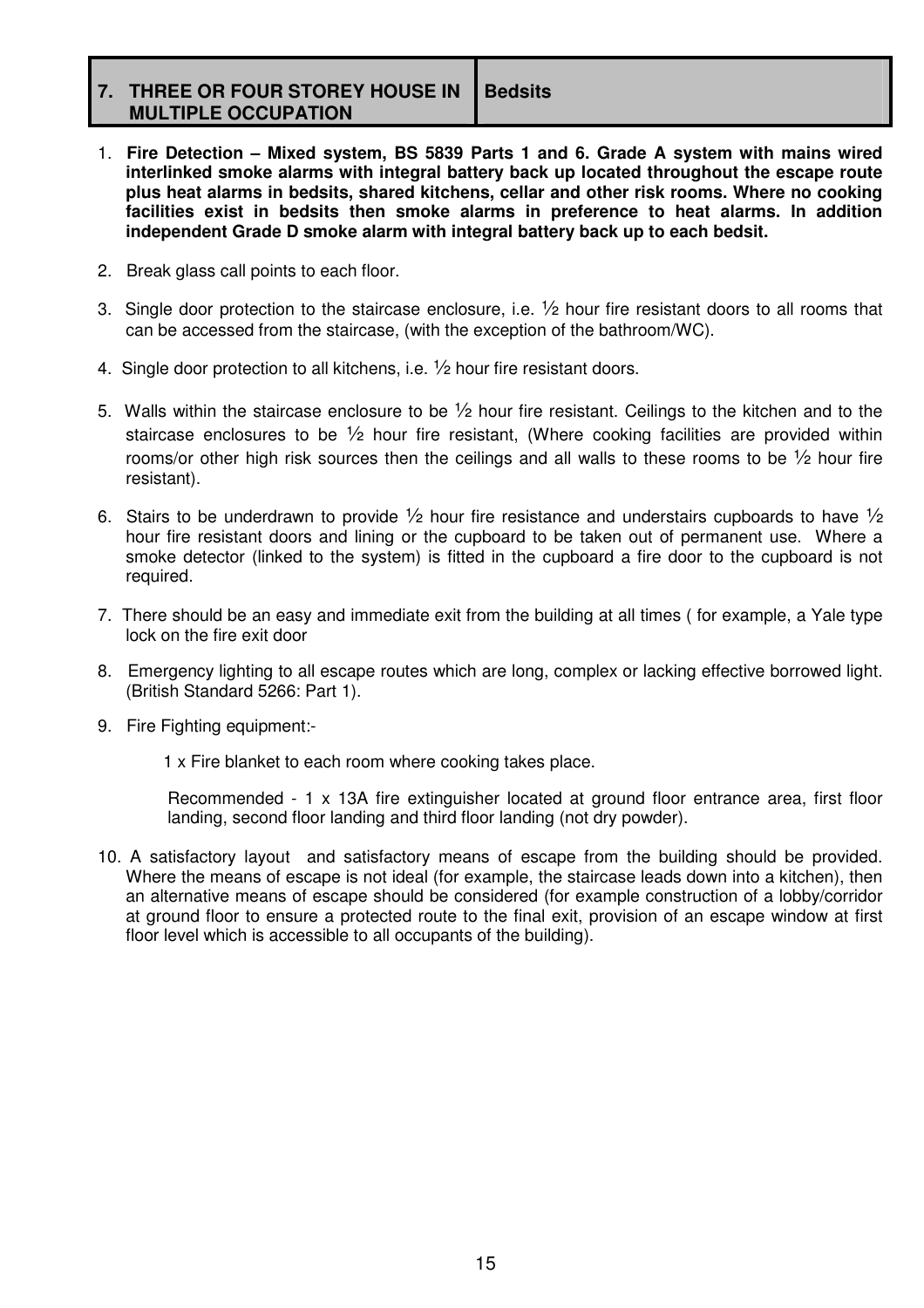**7. THREE OR FOUR STOREY HOUSE IN MULTIPLE OCCUPATION Bedsits** 

- 1. **Fire Detection Mixed system, BS 5839 Parts 1 and 6. Grade A system with mains wired interlinked smoke alarms with integral battery back up located throughout the escape route plus heat alarms in bedsits, shared kitchens, cellar and other risk rooms. Where no cooking facilities exist in bedsits then smoke alarms in preference to heat alarms. In addition independent Grade D smoke alarm with integral battery back up to each bedsit.**
- 2. Break glass call points to each floor.
- 3. Single door protection to the staircase enclosure, i.e.  $\frac{1}{2}$  hour fire resistant doors to all rooms that can be accessed from the staircase, (with the exception of the bathroom/WC).
- 4. Single door protection to all kitchens, i.e. ½ hour fire resistant doors.
- 5. Walls within the staircase enclosure to be  $\frac{1}{2}$  hour fire resistant. Ceilings to the kitchen and to the staircase enclosures to be  $\frac{1}{2}$  hour fire resistant. (Where cooking facilities are provided within rooms/or other high risk sources then the ceilings and all walls to these rooms to be  $\frac{1}{2}$  hour fire resistant).
- 6. Stairs to be underdrawn to provide  $\frac{1}{2}$  hour fire resistance and understairs cupboards to have  $\frac{1}{2}$ hour fire resistant doors and lining or the cupboard to be taken out of permanent use. Where a smoke detector (linked to the system) is fitted in the cupboard a fire door to the cupboard is not required.
- 7. There should be an easy and immediate exit from the building at all times ( for example, a Yale type lock on the fire exit door
- 8. Emergency lighting to all escape routes which are long, complex or lacking effective borrowed light. (British Standard 5266: Part 1).
- 9. Fire Fighting equipment:-

1 x Fire blanket to each room where cooking takes place.

Recommended - 1 x 13A fire extinguisher located at ground floor entrance area, first floor landing, second floor landing and third floor landing (not dry powder).

10. A satisfactory layout and satisfactory means of escape from the building should be provided. Where the means of escape is not ideal (for example, the staircase leads down into a kitchen), then an alternative means of escape should be considered (for example construction of a lobby/corridor at ground floor to ensure a protected route to the final exit, provision of an escape window at first floor level which is accessible to all occupants of the building).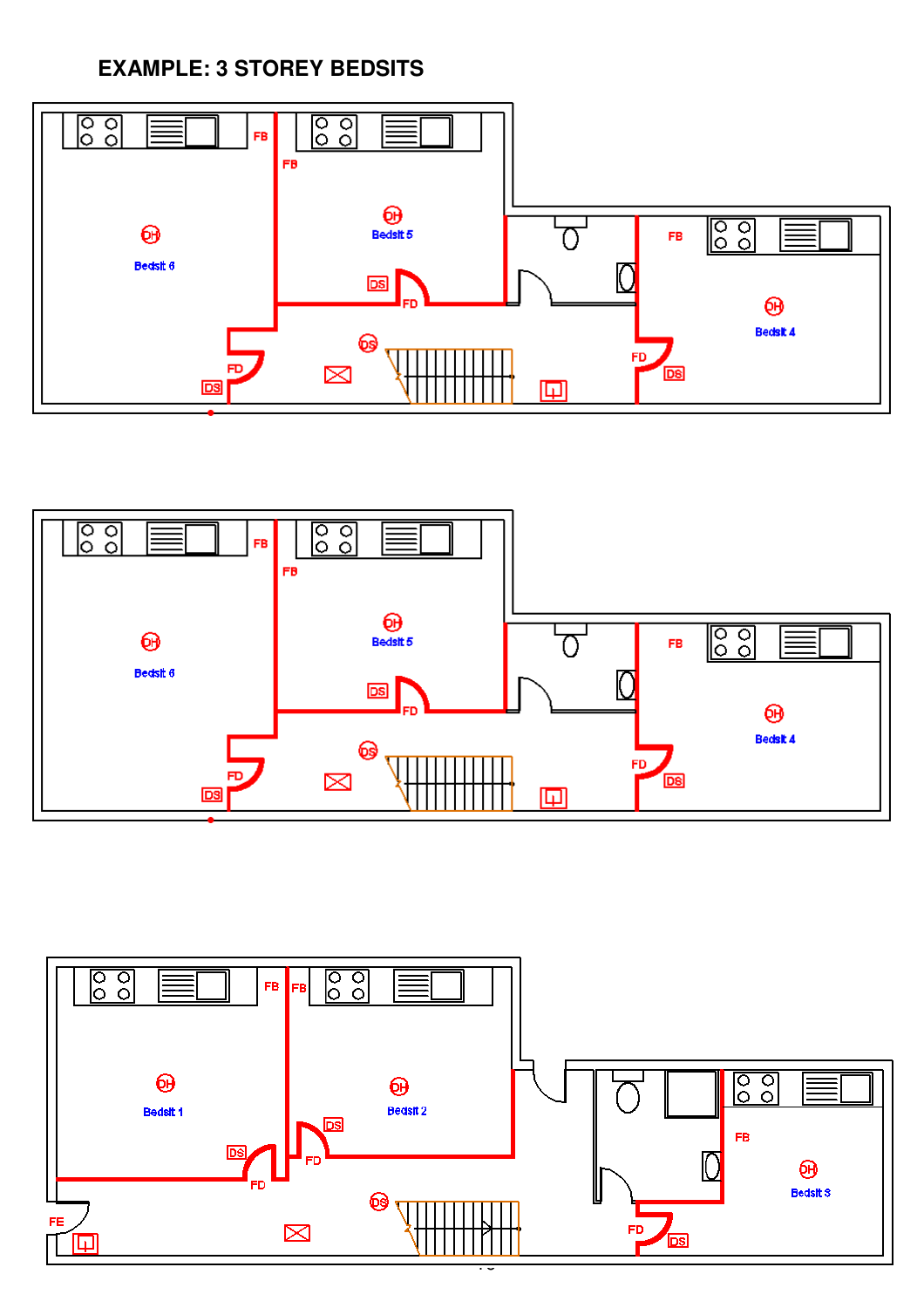**EXAMPLE: 3 STOREY BEDSITS** 





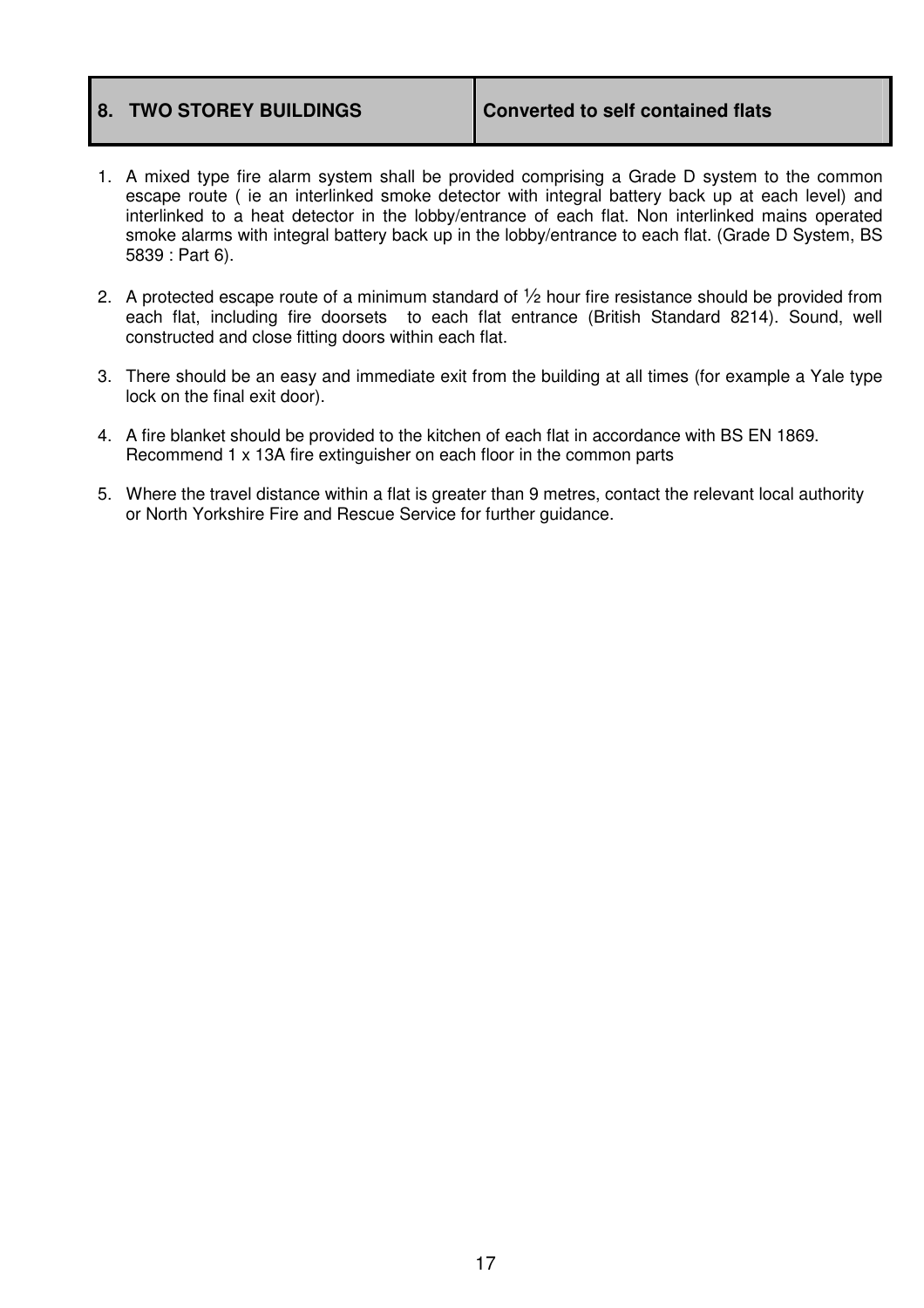- 1. A mixed type fire alarm system shall be provided comprising a Grade D system to the common escape route ( ie an interlinked smoke detector with integral battery back up at each level) and interlinked to a heat detector in the lobby/entrance of each flat. Non interlinked mains operated smoke alarms with integral battery back up in the lobby/entrance to each flat. (Grade D System, BS 5839 : Part 6).
- 2. A protected escape route of a minimum standard of  $\frac{1}{2}$  hour fire resistance should be provided from each flat, including fire doorsets to each flat entrance (British Standard 8214). Sound, well constructed and close fitting doors within each flat.
- 3. There should be an easy and immediate exit from the building at all times (for example a Yale type lock on the final exit door).
- 4. A fire blanket should be provided to the kitchen of each flat in accordance with BS EN 1869. Recommend 1 x 13A fire extinguisher on each floor in the common parts
- 5. Where the travel distance within a flat is greater than 9 metres, contact the relevant local authority or North Yorkshire Fire and Rescue Service for further guidance.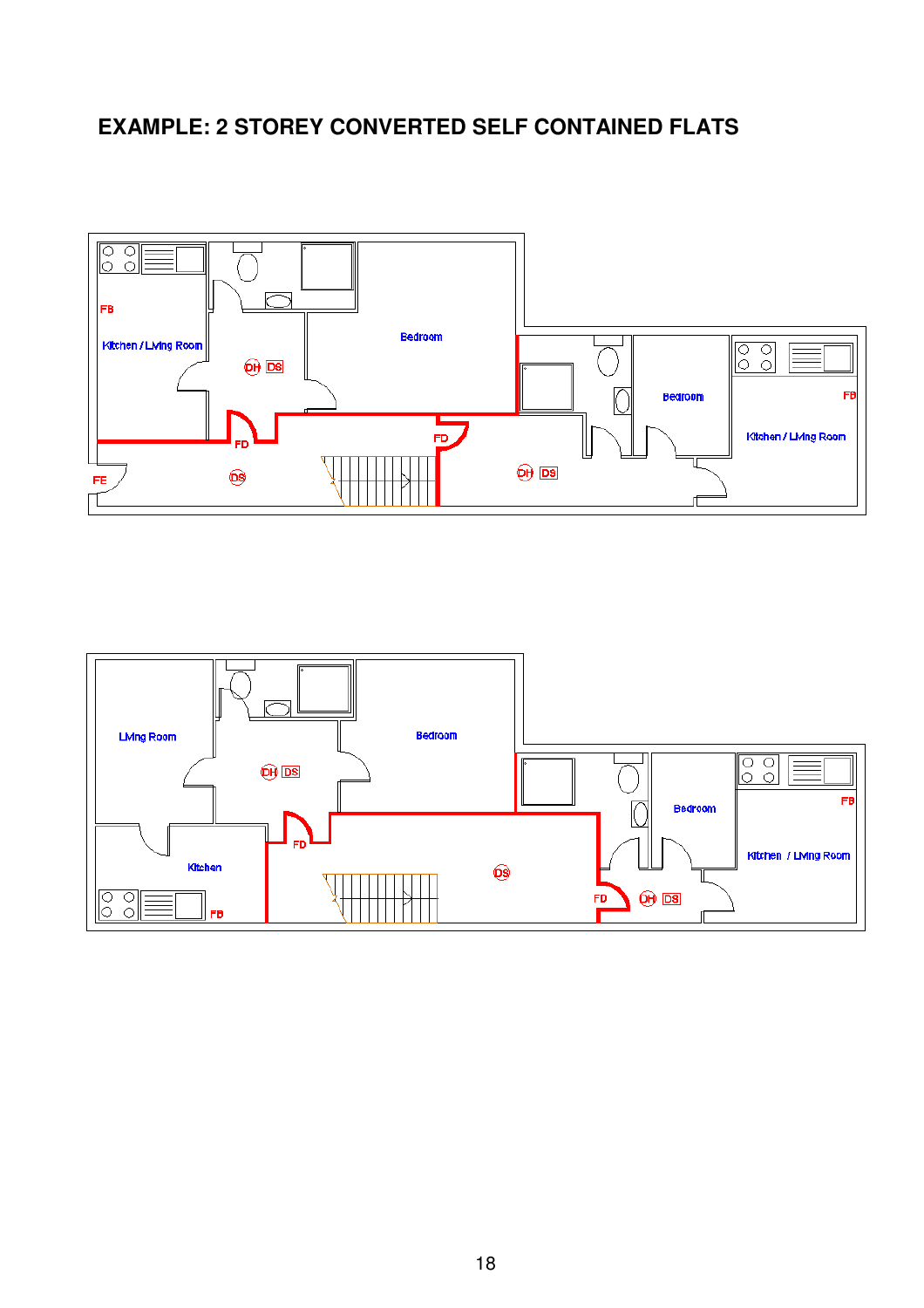## **EXAMPLE: 2 STOREY CONVERTED SELF CONTAINED FLATS**



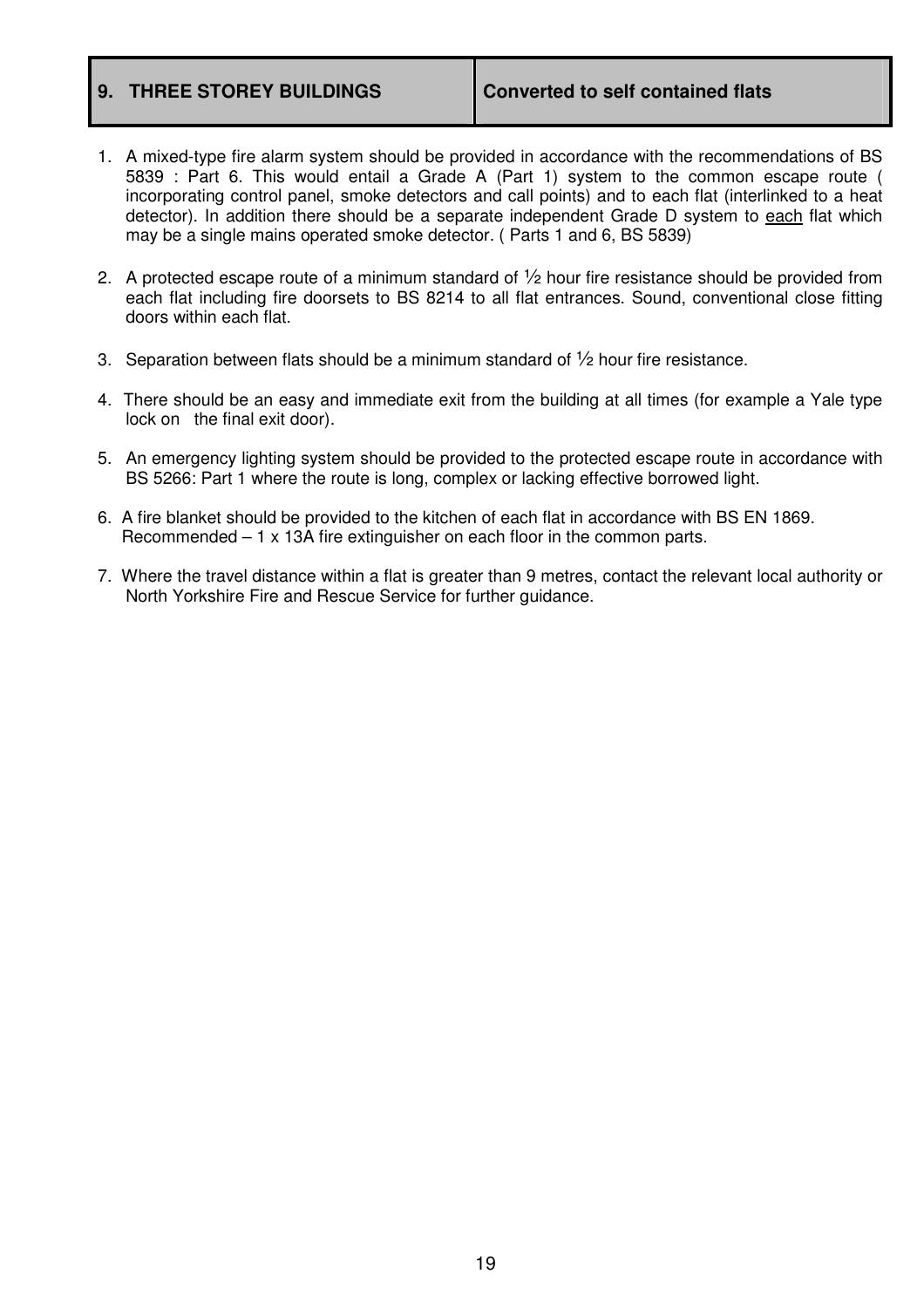### **9. THREE STOREY BUILDINGS Converted to self contained flats**

- 1. A mixed-type fire alarm system should be provided in accordance with the recommendations of BS 5839 : Part 6. This would entail a Grade A (Part 1) system to the common escape route ( incorporating control panel, smoke detectors and call points) and to each flat (interlinked to a heat detector). In addition there should be a separate independent Grade D system to each flat which may be a single mains operated smoke detector. ( Parts 1 and 6, BS 5839)
- 2. A protected escape route of a minimum standard of  $\frac{1}{2}$  hour fire resistance should be provided from each flat including fire doorsets to BS 8214 to all flat entrances. Sound, conventional close fitting doors within each flat.
- 3. Separation between flats should be a minimum standard of  $\frac{1}{2}$  hour fire resistance.
- 4. There should be an easy and immediate exit from the building at all times (for example a Yale type lock on the final exit door).
- 5. An emergency lighting system should be provided to the protected escape route in accordance with BS 5266: Part 1 where the route is long, complex or lacking effective borrowed light.
- 6. A fire blanket should be provided to the kitchen of each flat in accordance with BS EN 1869. Recommended  $-1 \times 13A$  fire extinguisher on each floor in the common parts.
- 7. Where the travel distance within a flat is greater than 9 metres, contact the relevant local authority or North Yorkshire Fire and Rescue Service for further guidance.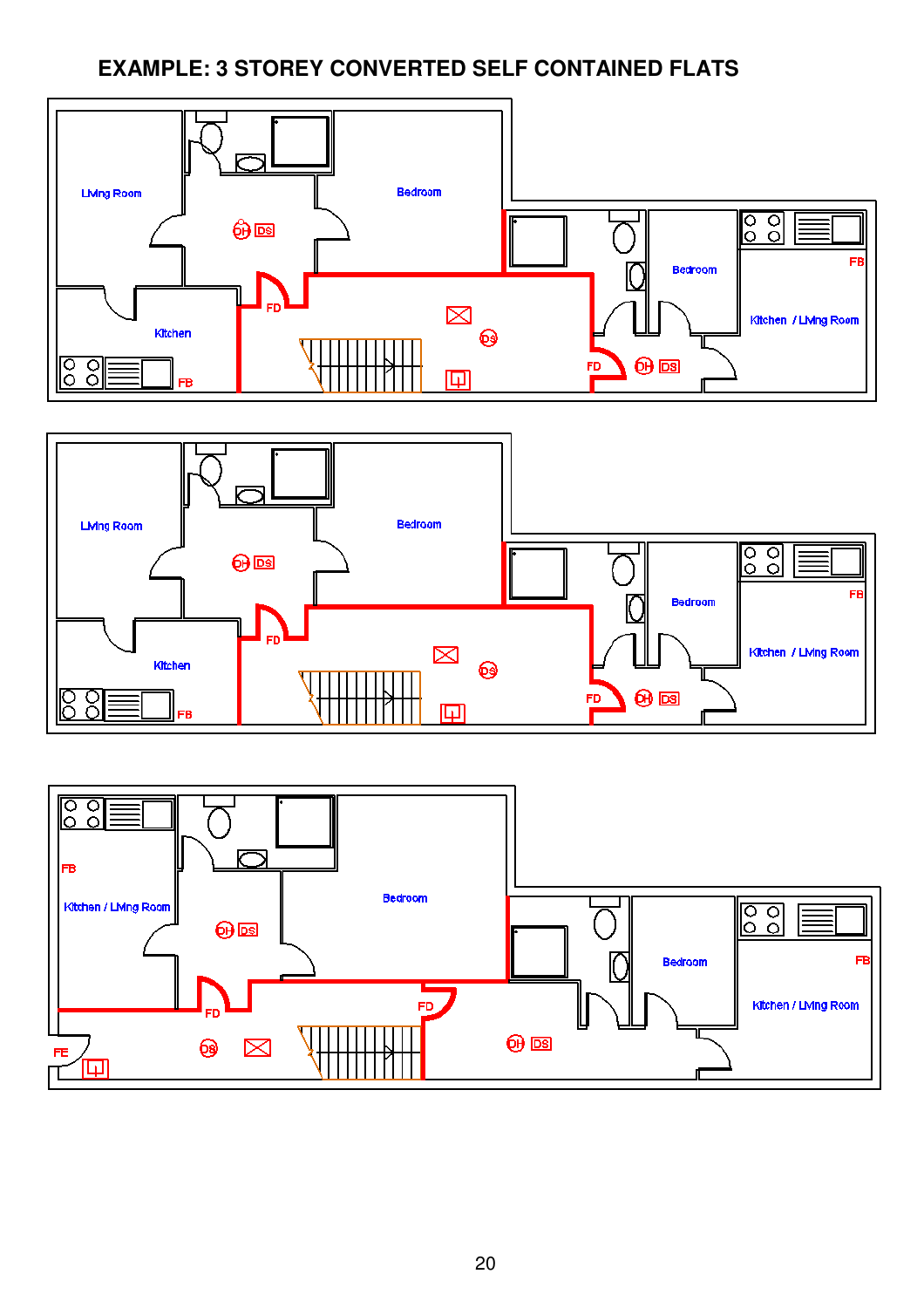# **EXAMPLE: 3 STOREY CONVERTED SELF CONTAINED FLATS**





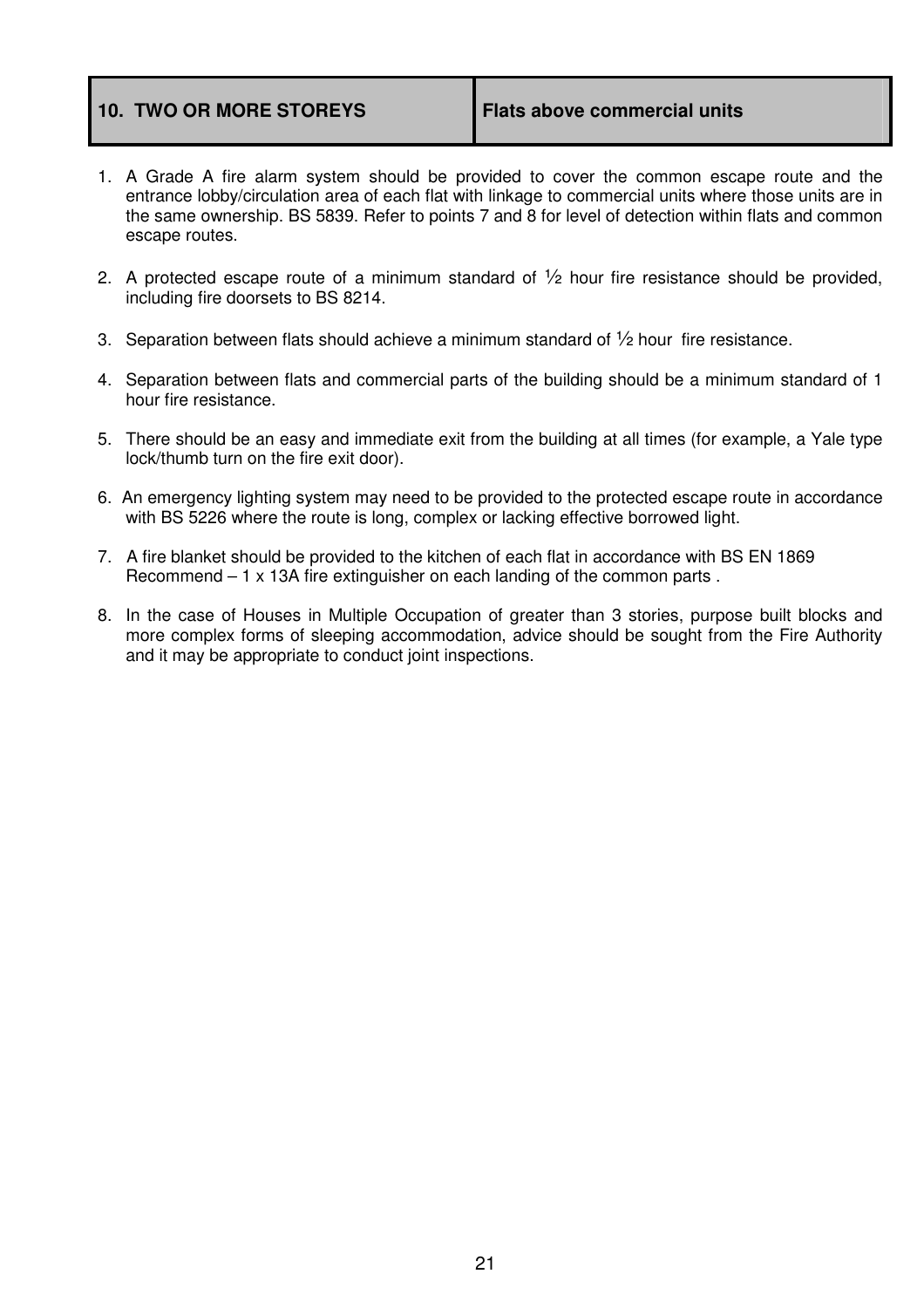### 10. TWO OR MORE STOREYS **Flats above commercial units**

- 1. A Grade A fire alarm system should be provided to cover the common escape route and the entrance lobby/circulation area of each flat with linkage to commercial units where those units are in the same ownership. BS 5839. Refer to points 7 and 8 for level of detection within flats and common escape routes.
- 2. A protected escape route of a minimum standard of  $\frac{1}{2}$  hour fire resistance should be provided, including fire doorsets to BS 8214.
- 3. Separation between flats should achieve a minimum standard of  $\frac{1}{2}$  hour fire resistance.
- 4. Separation between flats and commercial parts of the building should be a minimum standard of 1 hour fire resistance.
- 5. There should be an easy and immediate exit from the building at all times (for example, a Yale type lock/thumb turn on the fire exit door).
- 6. An emergency lighting system may need to be provided to the protected escape route in accordance with BS 5226 where the route is long, complex or lacking effective borrowed light.
- 7. A fire blanket should be provided to the kitchen of each flat in accordance with BS EN 1869 Recommend – 1 x 13A fire extinguisher on each landing of the common parts .
- 8. In the case of Houses in Multiple Occupation of greater than 3 stories, purpose built blocks and more complex forms of sleeping accommodation, advice should be sought from the Fire Authority and it may be appropriate to conduct joint inspections.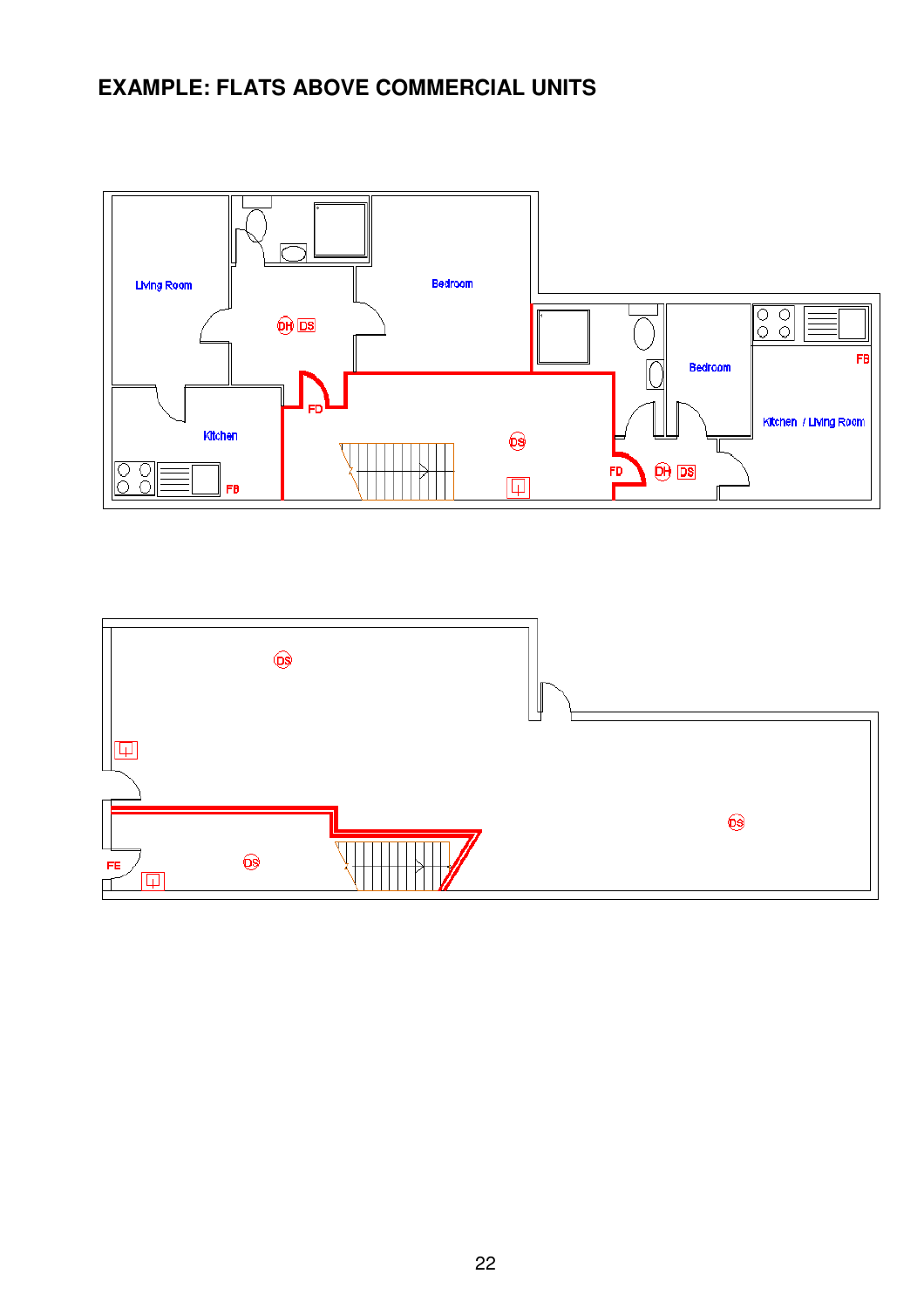# **EXAMPLE: FLATS ABOVE COMMERCIAL UNITS**



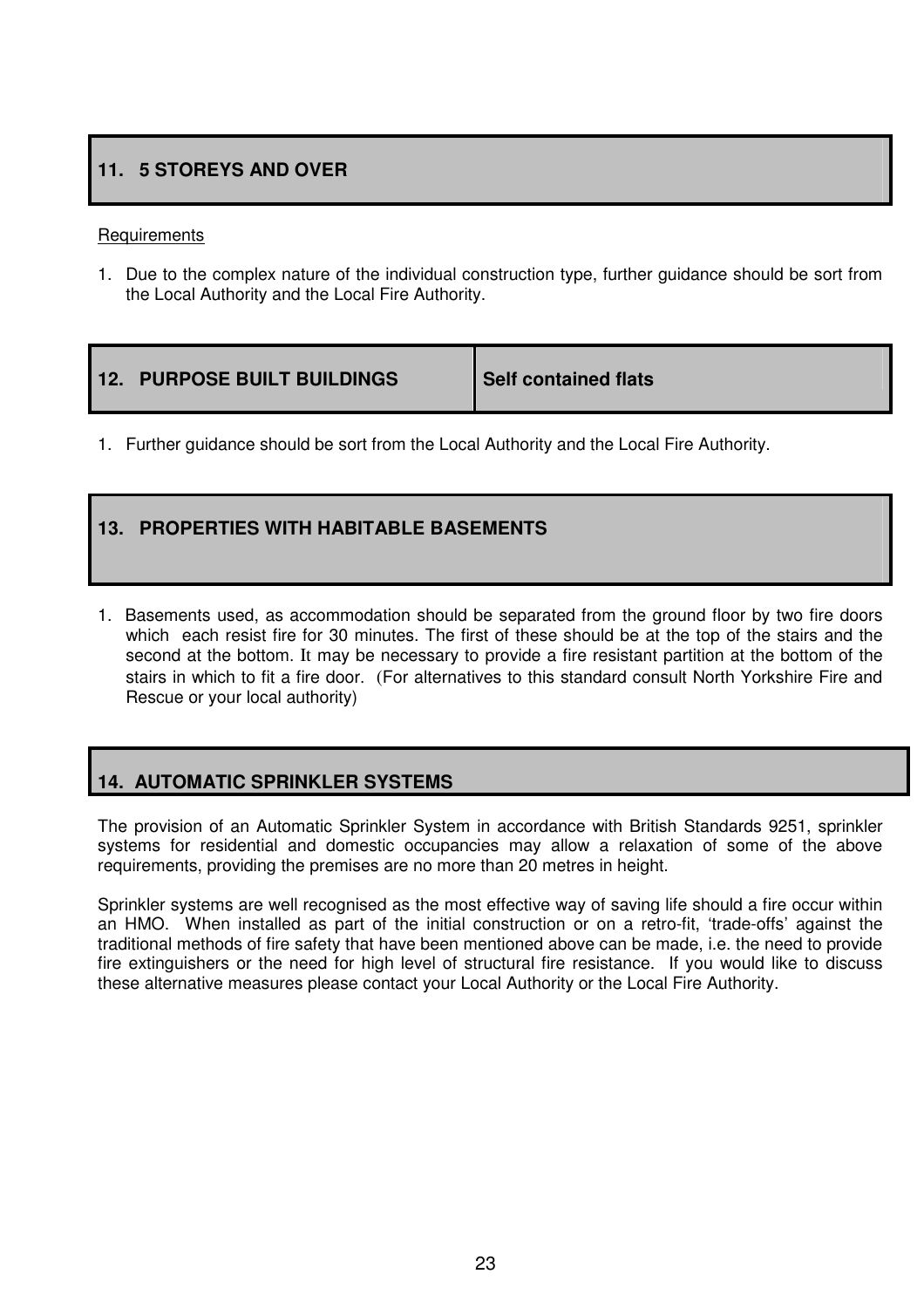### **11. 5 STOREYS AND OVER**

### **Requirements**

1. Due to the complex nature of the individual construction type, further guidance should be sort from the Local Authority and the Local Fire Authority.

| <b>12. PURPOSE BUILT BUILDINGS</b> | Self contained flats |
|------------------------------------|----------------------|
|                                    |                      |

1. Further guidance should be sort from the Local Authority and the Local Fire Authority.

### **13. PROPERTIES WITH HABITABLE BASEMENTS**

1. Basements used, as accommodation should be separated from the ground floor by two fire doors which each resist fire for 30 minutes. The first of these should be at the top of the stairs and the second at the bottom. It may be necessary to provide a fire resistant partition at the bottom of the stairs in which to fit a fire door. (For alternatives to this standard consult North Yorkshire Fire and Rescue or your local authority)

### **14. AUTOMATIC SPRINKLER SYSTEMS**

The provision of an Automatic Sprinkler System in accordance with British Standards 9251, sprinkler systems for residential and domestic occupancies may allow a relaxation of some of the above requirements, providing the premises are no more than 20 metres in height.

Sprinkler systems are well recognised as the most effective way of saving life should a fire occur within an HMO. When installed as part of the initial construction or on a retro-fit, 'trade-offs' against the traditional methods of fire safety that have been mentioned above can be made, i.e. the need to provide fire extinguishers or the need for high level of structural fire resistance. If you would like to discuss these alternative measures please contact your Local Authority or the Local Fire Authority.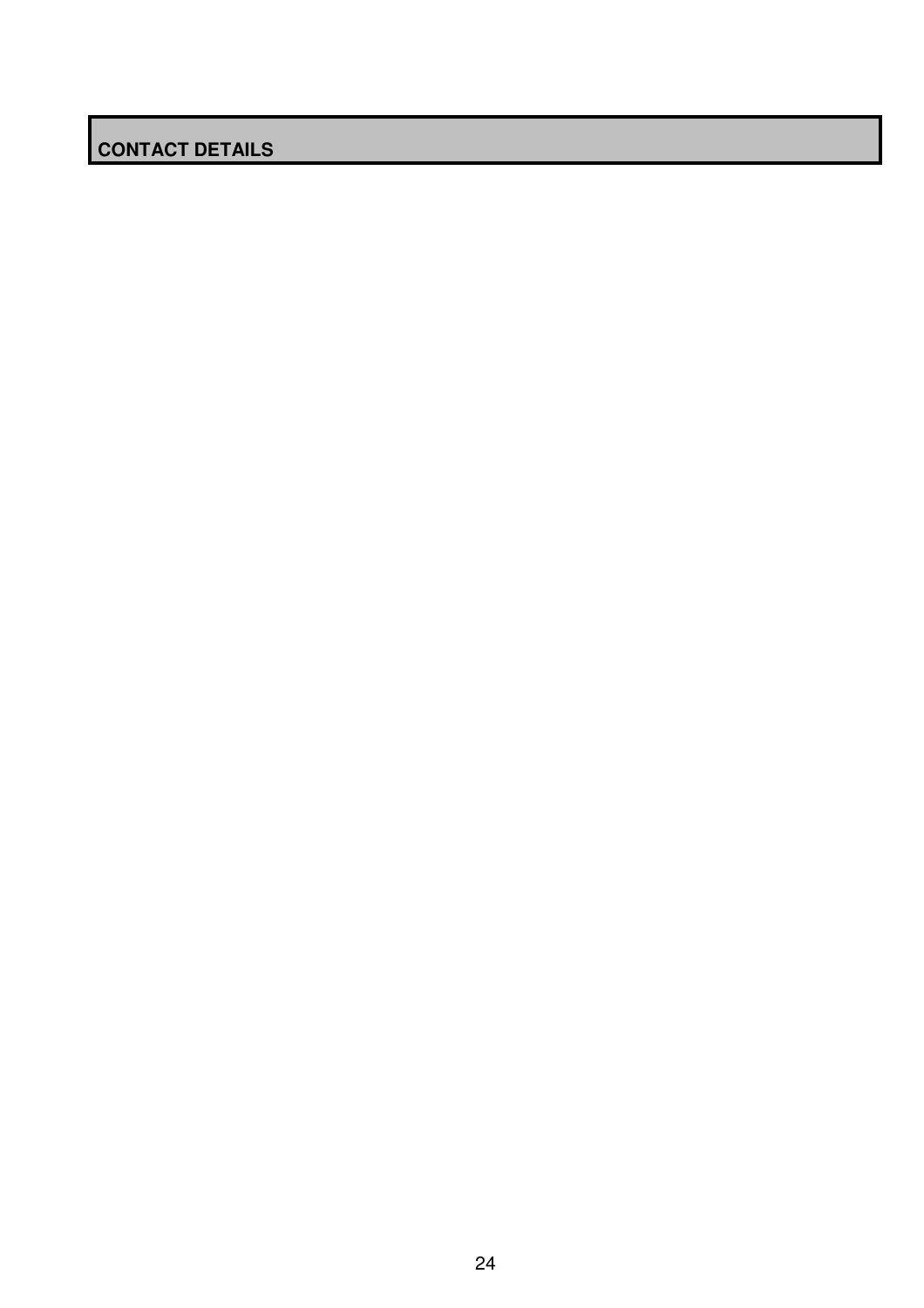# **CONTACT DETAILS**